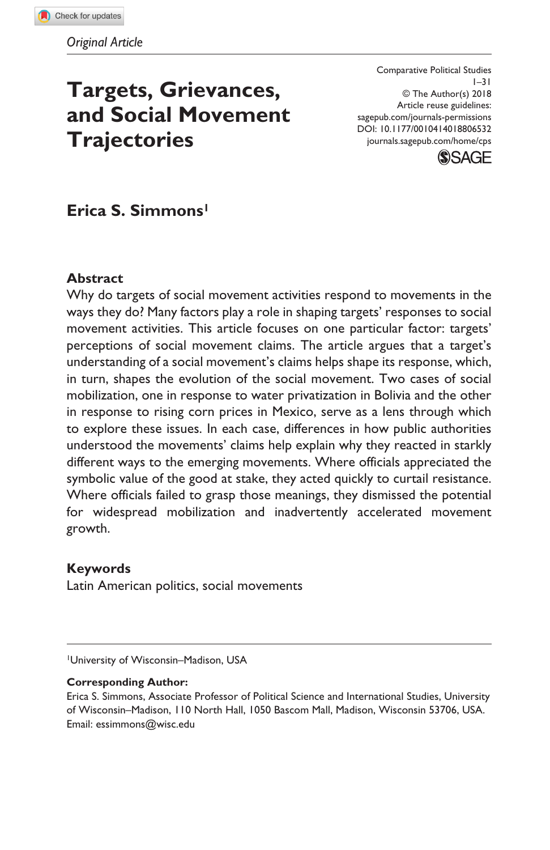# **Targets, Grievances, and Social Movement Trajectories**

DOI: 10.1177/0010414018806532 Comparative Political Studies  $1 - 31$ © The Author(s) 2018 Article reuse guidelines: [sagepub.com/journals-permissions](https://us.sagepub.com/en-us/journals-permissions) [journals.sagepub.com/home/cps](https://journals.sagepub.com/home/cps)



## **Erica S. Simmons1**

#### **Abstract**

Why do targets of social movement activities respond to movements in the ways they do? Many factors play a role in shaping targets' responses to social movement activities. This article focuses on one particular factor: targets' perceptions of social movement claims. The article argues that a target's understanding of a social movement's claims helps shape its response, which, in turn, shapes the evolution of the social movement. Two cases of social mobilization, one in response to water privatization in Bolivia and the other in response to rising corn prices in Mexico, serve as a lens through which to explore these issues. In each case, differences in how public authorities understood the movements' claims help explain why they reacted in starkly different ways to the emerging movements. Where officials appreciated the symbolic value of the good at stake, they acted quickly to curtail resistance. Where officials failed to grasp those meanings, they dismissed the potential for widespread mobilization and inadvertently accelerated movement growth.

#### **Keywords**

Latin American politics, social movements

#### **Corresponding Author:**

<sup>1</sup>University of Wisconsin–Madison, USA

Erica S. Simmons, Associate Professor of Political Science and International Studies, University of Wisconsin–Madison, 110 North Hall, 1050 Bascom Mall, Madison, Wisconsin 53706, USA. Email: [essimmons@wisc.edu](mailto:essimmons@wisc.edu)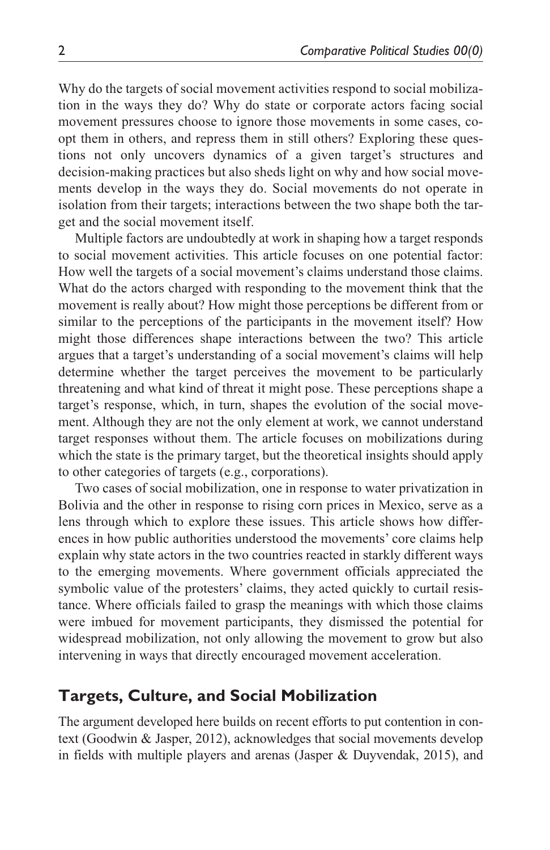Why do the targets of social movement activities respond to social mobilization in the ways they do? Why do state or corporate actors facing social movement pressures choose to ignore those movements in some cases, coopt them in others, and repress them in still others? Exploring these questions not only uncovers dynamics of a given target's structures and decision-making practices but also sheds light on why and how social movements develop in the ways they do. Social movements do not operate in isolation from their targets; interactions between the two shape both the target and the social movement itself.

Multiple factors are undoubtedly at work in shaping how a target responds to social movement activities. This article focuses on one potential factor: How well the targets of a social movement's claims understand those claims. What do the actors charged with responding to the movement think that the movement is really about? How might those perceptions be different from or similar to the perceptions of the participants in the movement itself? How might those differences shape interactions between the two? This article argues that a target's understanding of a social movement's claims will help determine whether the target perceives the movement to be particularly threatening and what kind of threat it might pose. These perceptions shape a target's response, which, in turn, shapes the evolution of the social movement. Although they are not the only element at work, we cannot understand target responses without them. The article focuses on mobilizations during which the state is the primary target, but the theoretical insights should apply to other categories of targets (e.g., corporations).

Two cases of social mobilization, one in response to water privatization in Bolivia and the other in response to rising corn prices in Mexico, serve as a lens through which to explore these issues. This article shows how differences in how public authorities understood the movements' core claims help explain why state actors in the two countries reacted in starkly different ways to the emerging movements. Where government officials appreciated the symbolic value of the protesters' claims, they acted quickly to curtail resistance. Where officials failed to grasp the meanings with which those claims were imbued for movement participants, they dismissed the potential for widespread mobilization, not only allowing the movement to grow but also intervening in ways that directly encouraged movement acceleration.

## **Targets, Culture, and Social Mobilization**

The argument developed here builds on recent efforts to put contention in context (Goodwin & Jasper, 2012), acknowledges that social movements develop in fields with multiple players and arenas (Jasper & Duyvendak, 2015), and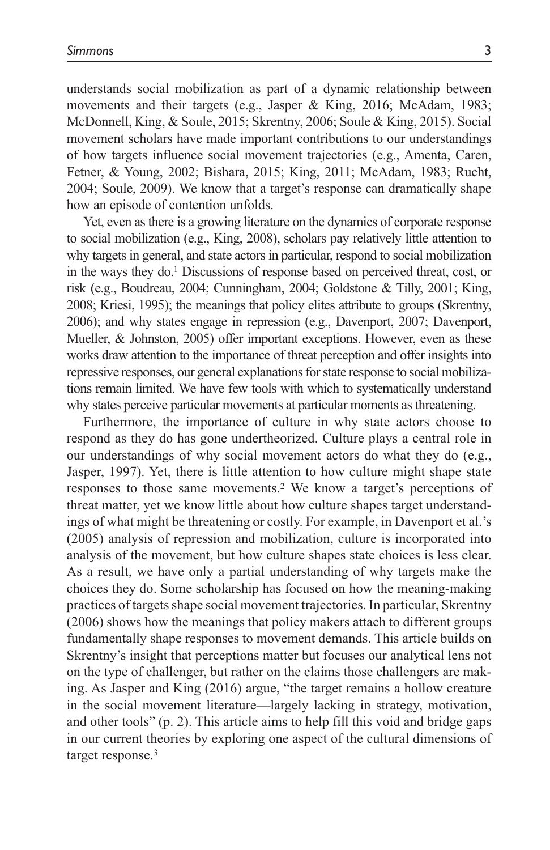understands social mobilization as part of a dynamic relationship between movements and their targets (e.g., Jasper & King, 2016; McAdam, 1983; McDonnell, King, & Soule, 2015; Skrentny, 2006; Soule & King, 2015). Social movement scholars have made important contributions to our understandings of how targets influence social movement trajectories (e.g., Amenta, Caren, Fetner, & Young, 2002; Bishara, 2015; King, 2011; McAdam, 1983; Rucht, 2004; Soule, 2009). We know that a target's response can dramatically shape how an episode of contention unfolds.

Yet, even as there is a growing literature on the dynamics of corporate response to social mobilization (e.g., King, 2008), scholars pay relatively little attention to why targets in general, and state actors in particular, respond to social mobilization in the ways they do.1 Discussions of response based on perceived threat, cost, or risk (e.g., Boudreau, 2004; Cunningham, 2004; Goldstone & Tilly, 2001; King, 2008; Kriesi, 1995); the meanings that policy elites attribute to groups (Skrentny, 2006); and why states engage in repression (e.g., Davenport, 2007; Davenport, Mueller, & Johnston, 2005) offer important exceptions. However, even as these works draw attention to the importance of threat perception and offer insights into repressive responses, our general explanations for state response to social mobilizations remain limited. We have few tools with which to systematically understand why states perceive particular movements at particular moments as threatening.

Furthermore, the importance of culture in why state actors choose to respond as they do has gone undertheorized. Culture plays a central role in our understandings of why social movement actors do what they do (e.g., Jasper, 1997). Yet, there is little attention to how culture might shape state responses to those same movements.2 We know a target's perceptions of threat matter, yet we know little about how culture shapes target understandings of what might be threatening or costly. For example, in Davenport et al.'s (2005) analysis of repression and mobilization, culture is incorporated into analysis of the movement, but how culture shapes state choices is less clear. As a result, we have only a partial understanding of why targets make the choices they do. Some scholarship has focused on how the meaning-making practices of targets shape social movement trajectories. In particular, Skrentny (2006) shows how the meanings that policy makers attach to different groups fundamentally shape responses to movement demands. This article builds on Skrentny's insight that perceptions matter but focuses our analytical lens not on the type of challenger, but rather on the claims those challengers are making. As Jasper and King (2016) argue, "the target remains a hollow creature in the social movement literature—largely lacking in strategy, motivation, and other tools" (p. 2). This article aims to help fill this void and bridge gaps in our current theories by exploring one aspect of the cultural dimensions of target response.<sup>3</sup>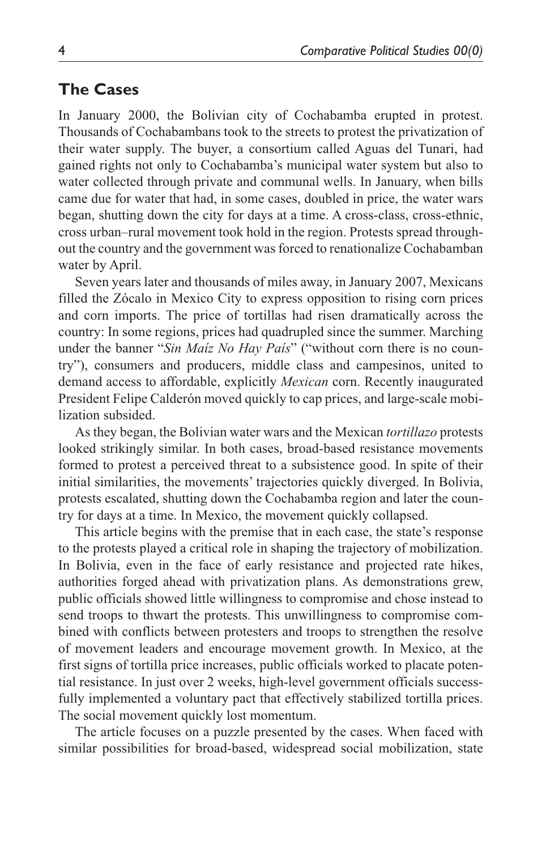## **The Cases**

In January 2000, the Bolivian city of Cochabamba erupted in protest. Thousands of Cochabambans took to the streets to protest the privatization of their water supply. The buyer, a consortium called Aguas del Tunari, had gained rights not only to Cochabamba's municipal water system but also to water collected through private and communal wells. In January, when bills came due for water that had, in some cases, doubled in price, the water wars began, shutting down the city for days at a time. A cross-class, cross-ethnic, cross urban–rural movement took hold in the region. Protests spread throughout the country and the government was forced to renationalize Cochabamban water by April.

Seven years later and thousands of miles away, in January 2007, Mexicans filled the Zócalo in Mexico City to express opposition to rising corn prices and corn imports. The price of tortillas had risen dramatically across the country: In some regions, prices had quadrupled since the summer. Marching under the banner "*Sin Maíz No Hay País*" ("without corn there is no country"), consumers and producers, middle class and campesinos, united to demand access to affordable, explicitly *Mexican* corn. Recently inaugurated President Felipe Calderón moved quickly to cap prices, and large-scale mobilization subsided.

As they began, the Bolivian water wars and the Mexican *tortillazo* protests looked strikingly similar. In both cases, broad-based resistance movements formed to protest a perceived threat to a subsistence good. In spite of their initial similarities, the movements' trajectories quickly diverged. In Bolivia, protests escalated, shutting down the Cochabamba region and later the country for days at a time. In Mexico, the movement quickly collapsed.

This article begins with the premise that in each case, the state's response to the protests played a critical role in shaping the trajectory of mobilization. In Bolivia, even in the face of early resistance and projected rate hikes, authorities forged ahead with privatization plans. As demonstrations grew, public officials showed little willingness to compromise and chose instead to send troops to thwart the protests. This unwillingness to compromise combined with conflicts between protesters and troops to strengthen the resolve of movement leaders and encourage movement growth. In Mexico, at the first signs of tortilla price increases, public officials worked to placate potential resistance. In just over 2 weeks, high-level government officials successfully implemented a voluntary pact that effectively stabilized tortilla prices. The social movement quickly lost momentum.

The article focuses on a puzzle presented by the cases. When faced with similar possibilities for broad-based, widespread social mobilization, state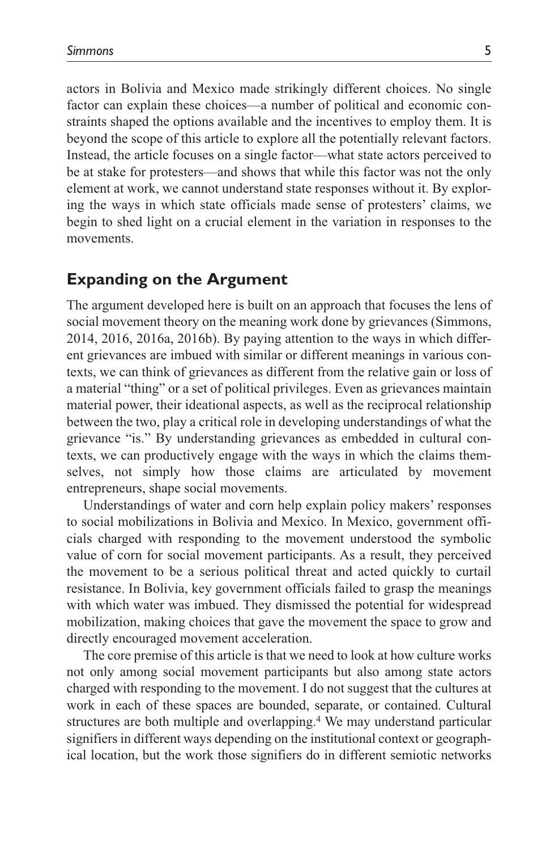actors in Bolivia and Mexico made strikingly different choices. No single factor can explain these choices—a number of political and economic constraints shaped the options available and the incentives to employ them. It is beyond the scope of this article to explore all the potentially relevant factors. Instead, the article focuses on a single factor—what state actors perceived to be at stake for protesters—and shows that while this factor was not the only element at work, we cannot understand state responses without it. By exploring the ways in which state officials made sense of protesters' claims, we begin to shed light on a crucial element in the variation in responses to the movements.

#### **Expanding on the Argument**

The argument developed here is built on an approach that focuses the lens of social movement theory on the meaning work done by grievances (Simmons, 2014, 2016, 2016a, 2016b). By paying attention to the ways in which different grievances are imbued with similar or different meanings in various contexts, we can think of grievances as different from the relative gain or loss of a material "thing" or a set of political privileges. Even as grievances maintain material power, their ideational aspects, as well as the reciprocal relationship between the two, play a critical role in developing understandings of what the grievance "is." By understanding grievances as embedded in cultural contexts, we can productively engage with the ways in which the claims themselves, not simply how those claims are articulated by movement entrepreneurs, shape social movements.

Understandings of water and corn help explain policy makers' responses to social mobilizations in Bolivia and Mexico. In Mexico, government officials charged with responding to the movement understood the symbolic value of corn for social movement participants. As a result, they perceived the movement to be a serious political threat and acted quickly to curtail resistance. In Bolivia, key government officials failed to grasp the meanings with which water was imbued. They dismissed the potential for widespread mobilization, making choices that gave the movement the space to grow and directly encouraged movement acceleration.

The core premise of this article is that we need to look at how culture works not only among social movement participants but also among state actors charged with responding to the movement. I do not suggest that the cultures at work in each of these spaces are bounded, separate, or contained. Cultural structures are both multiple and overlapping.<sup>4</sup> We may understand particular signifiers in different ways depending on the institutional context or geographical location, but the work those signifiers do in different semiotic networks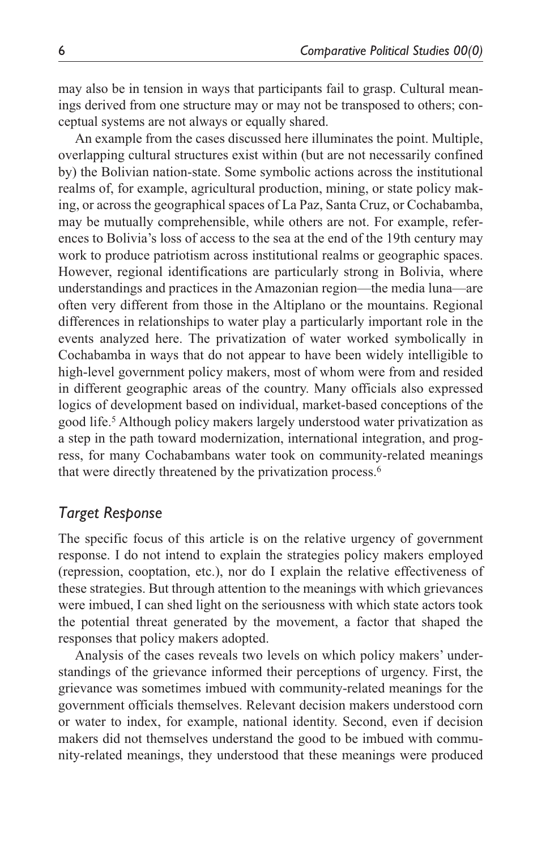may also be in tension in ways that participants fail to grasp. Cultural meanings derived from one structure may or may not be transposed to others; conceptual systems are not always or equally shared.

An example from the cases discussed here illuminates the point. Multiple, overlapping cultural structures exist within (but are not necessarily confined by) the Bolivian nation-state. Some symbolic actions across the institutional realms of, for example, agricultural production, mining, or state policy making, or across the geographical spaces of La Paz, Santa Cruz, or Cochabamba, may be mutually comprehensible, while others are not. For example, references to Bolivia's loss of access to the sea at the end of the 19th century may work to produce patriotism across institutional realms or geographic spaces. However, regional identifications are particularly strong in Bolivia, where understandings and practices in the Amazonian region—the media luna—are often very different from those in the Altiplano or the mountains. Regional differences in relationships to water play a particularly important role in the events analyzed here. The privatization of water worked symbolically in Cochabamba in ways that do not appear to have been widely intelligible to high-level government policy makers, most of whom were from and resided in different geographic areas of the country. Many officials also expressed logics of development based on individual, market-based conceptions of the good life.5 Although policy makers largely understood water privatization as a step in the path toward modernization, international integration, and progress, for many Cochabambans water took on community-related meanings that were directly threatened by the privatization process.6

#### *Target Response*

The specific focus of this article is on the relative urgency of government response. I do not intend to explain the strategies policy makers employed (repression, cooptation, etc.), nor do I explain the relative effectiveness of these strategies. But through attention to the meanings with which grievances were imbued, I can shed light on the seriousness with which state actors took the potential threat generated by the movement, a factor that shaped the responses that policy makers adopted.

Analysis of the cases reveals two levels on which policy makers' understandings of the grievance informed their perceptions of urgency. First, the grievance was sometimes imbued with community-related meanings for the government officials themselves. Relevant decision makers understood corn or water to index, for example, national identity. Second, even if decision makers did not themselves understand the good to be imbued with community-related meanings, they understood that these meanings were produced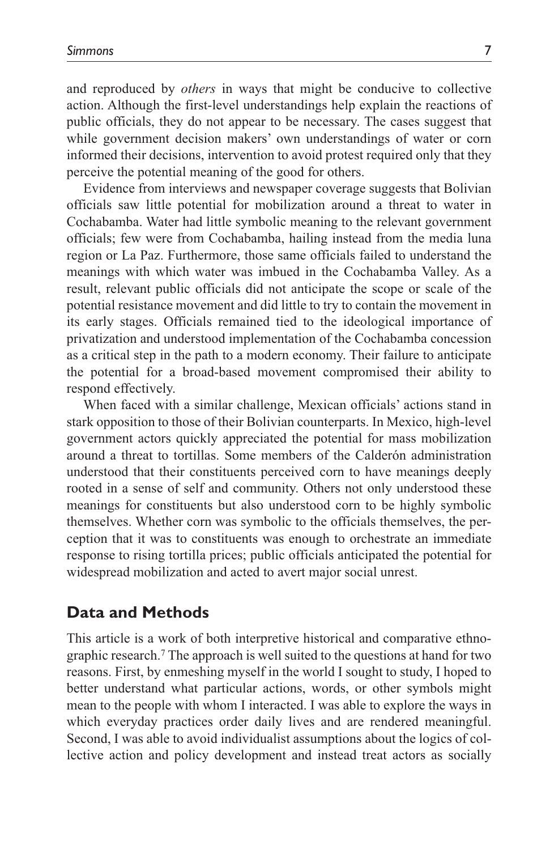and reproduced by *others* in ways that might be conducive to collective action. Although the first-level understandings help explain the reactions of public officials, they do not appear to be necessary. The cases suggest that while government decision makers' own understandings of water or corn informed their decisions, intervention to avoid protest required only that they perceive the potential meaning of the good for others.

Evidence from interviews and newspaper coverage suggests that Bolivian officials saw little potential for mobilization around a threat to water in Cochabamba. Water had little symbolic meaning to the relevant government officials; few were from Cochabamba, hailing instead from the media luna region or La Paz. Furthermore, those same officials failed to understand the meanings with which water was imbued in the Cochabamba Valley. As a result, relevant public officials did not anticipate the scope or scale of the potential resistance movement and did little to try to contain the movement in its early stages. Officials remained tied to the ideological importance of privatization and understood implementation of the Cochabamba concession as a critical step in the path to a modern economy. Their failure to anticipate the potential for a broad-based movement compromised their ability to respond effectively.

When faced with a similar challenge, Mexican officials' actions stand in stark opposition to those of their Bolivian counterparts. In Mexico, high-level government actors quickly appreciated the potential for mass mobilization around a threat to tortillas. Some members of the Calderón administration understood that their constituents perceived corn to have meanings deeply rooted in a sense of self and community. Others not only understood these meanings for constituents but also understood corn to be highly symbolic themselves. Whether corn was symbolic to the officials themselves, the perception that it was to constituents was enough to orchestrate an immediate response to rising tortilla prices; public officials anticipated the potential for widespread mobilization and acted to avert major social unrest.

#### **Data and Methods**

This article is a work of both interpretive historical and comparative ethnographic research.7 The approach is well suited to the questions at hand for two reasons. First, by enmeshing myself in the world I sought to study, I hoped to better understand what particular actions, words, or other symbols might mean to the people with whom I interacted. I was able to explore the ways in which everyday practices order daily lives and are rendered meaningful. Second, I was able to avoid individualist assumptions about the logics of collective action and policy development and instead treat actors as socially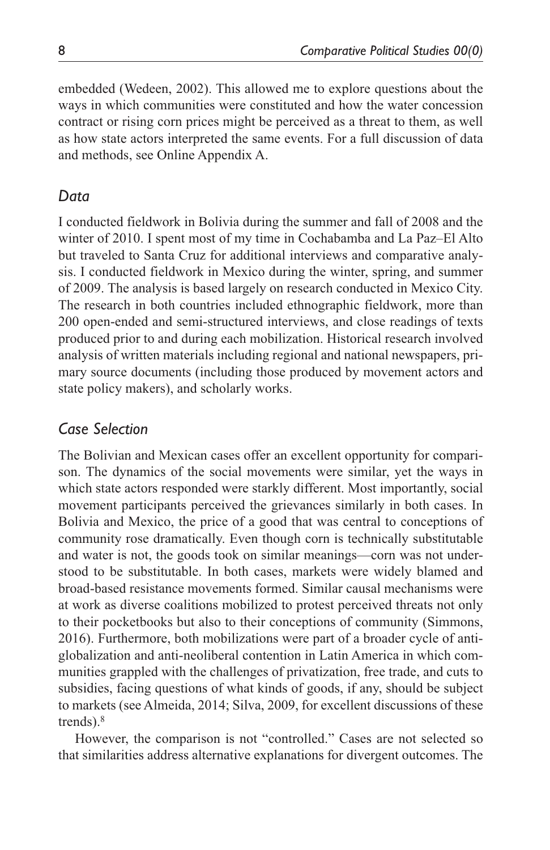embedded (Wedeen, 2002). This allowed me to explore questions about the ways in which communities were constituted and how the water concession contract or rising corn prices might be perceived as a threat to them, as well as how state actors interpreted the same events. For a full discussion of data and methods, see Online [Appendix A.](http://journals.sagepub.com/doi/suppl/10.1177/0010414018806532)

## *Data*

I conducted fieldwork in Bolivia during the summer and fall of 2008 and the winter of 2010. I spent most of my time in Cochabamba and La Paz–El Alto but traveled to Santa Cruz for additional interviews and comparative analysis. I conducted fieldwork in Mexico during the winter, spring, and summer of 2009. The analysis is based largely on research conducted in Mexico City. The research in both countries included ethnographic fieldwork, more than 200 open-ended and semi-structured interviews, and close readings of texts produced prior to and during each mobilization. Historical research involved analysis of written materials including regional and national newspapers, primary source documents (including those produced by movement actors and state policy makers), and scholarly works.

## *Case Selection*

The Bolivian and Mexican cases offer an excellent opportunity for comparison. The dynamics of the social movements were similar, yet the ways in which state actors responded were starkly different. Most importantly, social movement participants perceived the grievances similarly in both cases. In Bolivia and Mexico, the price of a good that was central to conceptions of community rose dramatically. Even though corn is technically substitutable and water is not, the goods took on similar meanings—corn was not understood to be substitutable. In both cases, markets were widely blamed and broad-based resistance movements formed. Similar causal mechanisms were at work as diverse coalitions mobilized to protest perceived threats not only to their pocketbooks but also to their conceptions of community (Simmons, 2016). Furthermore, both mobilizations were part of a broader cycle of antiglobalization and anti-neoliberal contention in Latin America in which communities grappled with the challenges of privatization, free trade, and cuts to subsidies, facing questions of what kinds of goods, if any, should be subject to markets (see Almeida, 2014; Silva, 2009, for excellent discussions of these trends).8

However, the comparison is not "controlled." Cases are not selected so that similarities address alternative explanations for divergent outcomes. The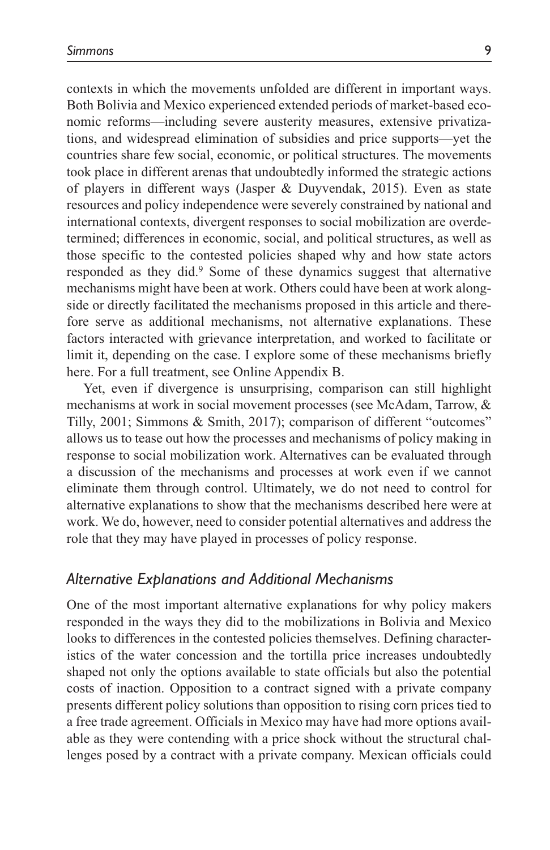contexts in which the movements unfolded are different in important ways. Both Bolivia and Mexico experienced extended periods of market-based economic reforms—including severe austerity measures, extensive privatizations, and widespread elimination of subsidies and price supports—yet the countries share few social, economic, or political structures. The movements took place in different arenas that undoubtedly informed the strategic actions of players in different ways (Jasper & Duyvendak, 2015). Even as state resources and policy independence were severely constrained by national and international contexts, divergent responses to social mobilization are overdetermined; differences in economic, social, and political structures, as well as those specific to the contested policies shaped why and how state actors responded as they did.9 Some of these dynamics suggest that alternative mechanisms might have been at work. Others could have been at work alongside or directly facilitated the mechanisms proposed in this article and therefore serve as additional mechanisms, not alternative explanations. These factors interacted with grievance interpretation, and worked to facilitate or limit it, depending on the case. I explore some of these mechanisms briefly here. For a full treatment, see Online [Appendix B.](http://journals.sagepub.com/doi/suppl/10.1177/0010414018806532)

Yet, even if divergence is unsurprising, comparison can still highlight mechanisms at work in social movement processes (see McAdam, Tarrow, & Tilly, 2001; Simmons & Smith, 2017); comparison of different "outcomes" allows us to tease out how the processes and mechanisms of policy making in response to social mobilization work. Alternatives can be evaluated through a discussion of the mechanisms and processes at work even if we cannot eliminate them through control. Ultimately, we do not need to control for alternative explanations to show that the mechanisms described here were at work. We do, however, need to consider potential alternatives and address the role that they may have played in processes of policy response.

#### *Alternative Explanations and Additional Mechanisms*

One of the most important alternative explanations for why policy makers responded in the ways they did to the mobilizations in Bolivia and Mexico looks to differences in the contested policies themselves. Defining characteristics of the water concession and the tortilla price increases undoubtedly shaped not only the options available to state officials but also the potential costs of inaction. Opposition to a contract signed with a private company presents different policy solutions than opposition to rising corn prices tied to a free trade agreement. Officials in Mexico may have had more options available as they were contending with a price shock without the structural challenges posed by a contract with a private company. Mexican officials could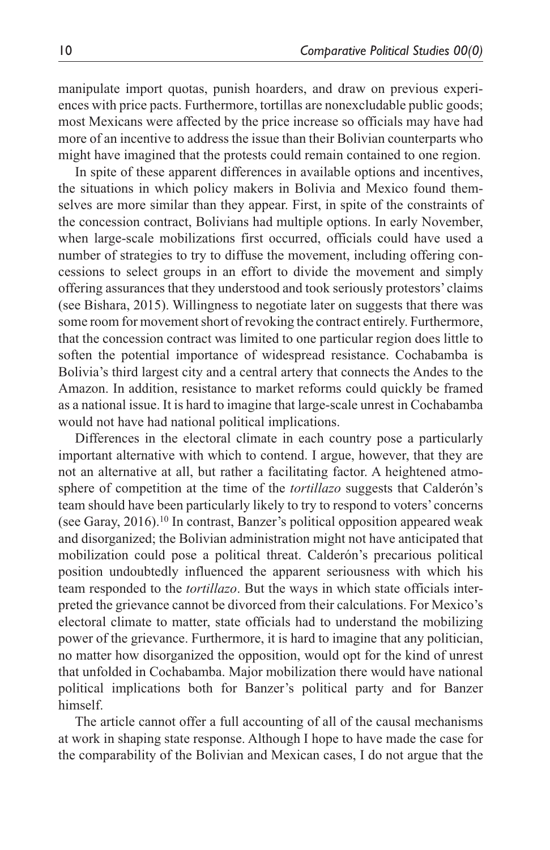manipulate import quotas, punish hoarders, and draw on previous experiences with price pacts. Furthermore, tortillas are nonexcludable public goods; most Mexicans were affected by the price increase so officials may have had more of an incentive to address the issue than their Bolivian counterparts who might have imagined that the protests could remain contained to one region.

In spite of these apparent differences in available options and incentives, the situations in which policy makers in Bolivia and Mexico found themselves are more similar than they appear. First, in spite of the constraints of the concession contract, Bolivians had multiple options. In early November, when large-scale mobilizations first occurred, officials could have used a number of strategies to try to diffuse the movement, including offering concessions to select groups in an effort to divide the movement and simply offering assurances that they understood and took seriously protestors' claims (see Bishara, 2015). Willingness to negotiate later on suggests that there was some room for movement short of revoking the contract entirely. Furthermore, that the concession contract was limited to one particular region does little to soften the potential importance of widespread resistance. Cochabamba is Bolivia's third largest city and a central artery that connects the Andes to the Amazon. In addition, resistance to market reforms could quickly be framed as a national issue. It is hard to imagine that large-scale unrest in Cochabamba would not have had national political implications.

Differences in the electoral climate in each country pose a particularly important alternative with which to contend. I argue, however, that they are not an alternative at all, but rather a facilitating factor. A heightened atmosphere of competition at the time of the *tortillazo* suggests that Calderón's team should have been particularly likely to try to respond to voters' concerns (see Garay, 2016).10 In contrast, Banzer's political opposition appeared weak and disorganized; the Bolivian administration might not have anticipated that mobilization could pose a political threat. Calderón's precarious political position undoubtedly influenced the apparent seriousness with which his team responded to the *tortillazo*. But the ways in which state officials interpreted the grievance cannot be divorced from their calculations. For Mexico's electoral climate to matter, state officials had to understand the mobilizing power of the grievance. Furthermore, it is hard to imagine that any politician, no matter how disorganized the opposition, would opt for the kind of unrest that unfolded in Cochabamba. Major mobilization there would have national political implications both for Banzer's political party and for Banzer himself.

The article cannot offer a full accounting of all of the causal mechanisms at work in shaping state response. Although I hope to have made the case for the comparability of the Bolivian and Mexican cases, I do not argue that the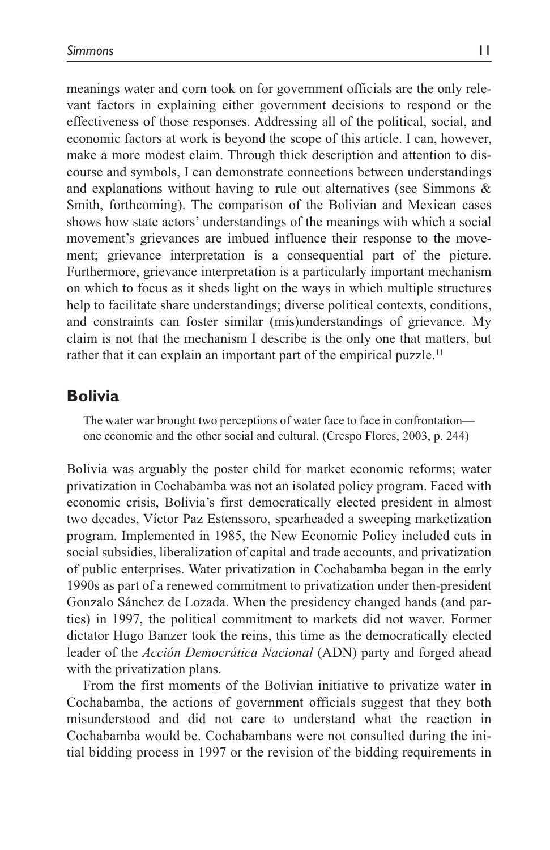meanings water and corn took on for government officials are the only relevant factors in explaining either government decisions to respond or the effectiveness of those responses. Addressing all of the political, social, and economic factors at work is beyond the scope of this article. I can, however, make a more modest claim. Through thick description and attention to discourse and symbols, I can demonstrate connections between understandings and explanations without having to rule out alternatives (see Simmons & Smith, forthcoming). The comparison of the Bolivian and Mexican cases shows how state actors' understandings of the meanings with which a social movement's grievances are imbued influence their response to the movement; grievance interpretation is a consequential part of the picture. Furthermore, grievance interpretation is a particularly important mechanism on which to focus as it sheds light on the ways in which multiple structures help to facilitate share understandings; diverse political contexts, conditions, and constraints can foster similar (mis)understandings of grievance. My claim is not that the mechanism I describe is the only one that matters, but rather that it can explain an important part of the empirical puzzle.<sup>11</sup>

#### **Bolivia**

The water war brought two perceptions of water face to face in confrontation one economic and the other social and cultural. (Crespo Flores, 2003, p. 244)

Bolivia was arguably the poster child for market economic reforms; water privatization in Cochabamba was not an isolated policy program. Faced with economic crisis, Bolivia's first democratically elected president in almost two decades, Víctor Paz Estenssoro, spearheaded a sweeping marketization program. Implemented in 1985, the New Economic Policy included cuts in social subsidies, liberalization of capital and trade accounts, and privatization of public enterprises. Water privatization in Cochabamba began in the early 1990s as part of a renewed commitment to privatization under then-president Gonzalo Sánchez de Lozada. When the presidency changed hands (and parties) in 1997, the political commitment to markets did not waver. Former dictator Hugo Banzer took the reins, this time as the democratically elected leader of the *Acción Democrática Nacional* (ADN) party and forged ahead with the privatization plans.

From the first moments of the Bolivian initiative to privatize water in Cochabamba, the actions of government officials suggest that they both misunderstood and did not care to understand what the reaction in Cochabamba would be. Cochabambans were not consulted during the initial bidding process in 1997 or the revision of the bidding requirements in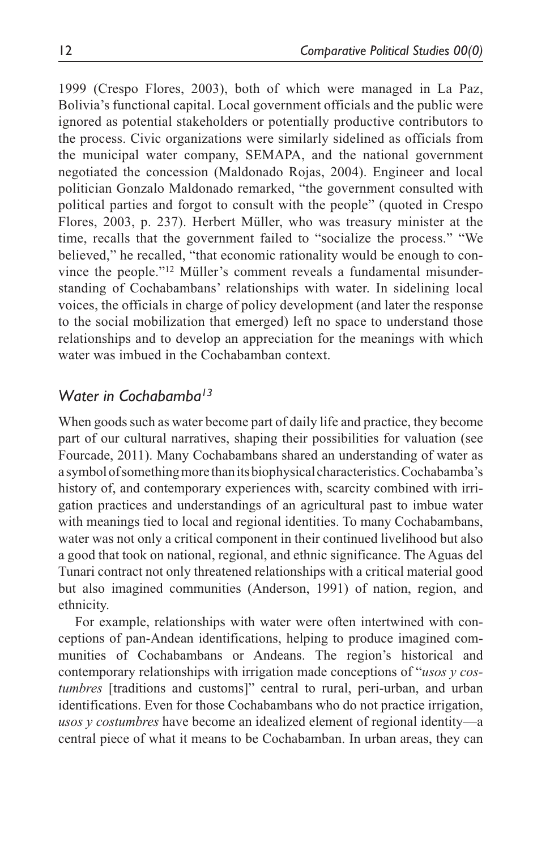1999 (Crespo Flores, 2003), both of which were managed in La Paz, Bolivia's functional capital. Local government officials and the public were ignored as potential stakeholders or potentially productive contributors to the process. Civic organizations were similarly sidelined as officials from the municipal water company, SEMAPA, and the national government negotiated the concession (Maldonado Rojas, 2004). Engineer and local politician Gonzalo Maldonado remarked, "the government consulted with political parties and forgot to consult with the people" (quoted in Crespo Flores, 2003, p. 237). Herbert Müller, who was treasury minister at the time, recalls that the government failed to "socialize the process." "We believed," he recalled, "that economic rationality would be enough to convince the people."12 Müller's comment reveals a fundamental misunderstanding of Cochabambans' relationships with water. In sidelining local voices, the officials in charge of policy development (and later the response to the social mobilization that emerged) left no space to understand those relationships and to develop an appreciation for the meanings with which water was imbued in the Cochabamban context.

## *Water in Cochabamba13*

When goods such as water become part of daily life and practice, they become part of our cultural narratives, shaping their possibilities for valuation (see Fourcade, 2011). Many Cochabambans shared an understanding of water as a symbol of something more than its biophysical characteristics. Cochabamba's history of, and contemporary experiences with, scarcity combined with irrigation practices and understandings of an agricultural past to imbue water with meanings tied to local and regional identities. To many Cochabambans, water was not only a critical component in their continued livelihood but also a good that took on national, regional, and ethnic significance. The Aguas del Tunari contract not only threatened relationships with a critical material good but also imagined communities (Anderson, 1991) of nation, region, and ethnicity.

For example, relationships with water were often intertwined with conceptions of pan-Andean identifications, helping to produce imagined communities of Cochabambans or Andeans. The region's historical and contemporary relationships with irrigation made conceptions of "*usos y costumbres* [traditions and customs]" central to rural, peri-urban, and urban identifications. Even for those Cochabambans who do not practice irrigation, *usos y costumbres* have become an idealized element of regional identity—a central piece of what it means to be Cochabamban. In urban areas, they can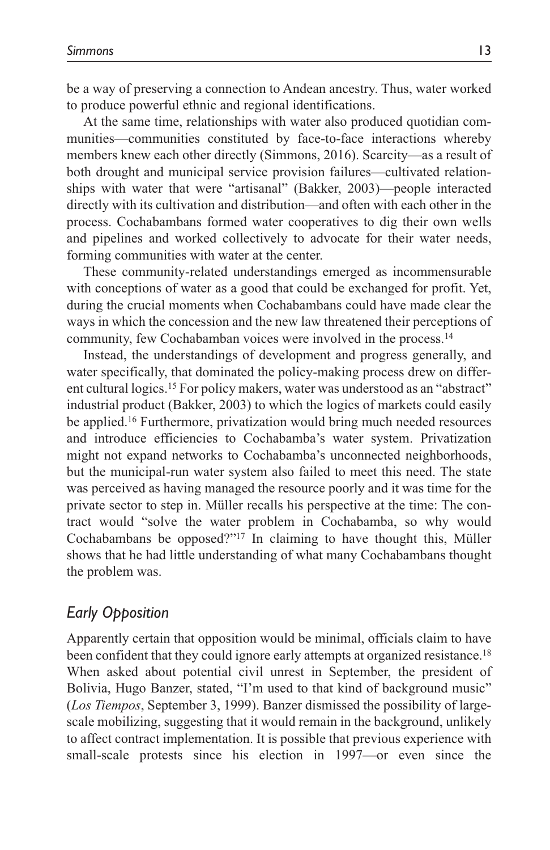be a way of preserving a connection to Andean ancestry. Thus, water worked to produce powerful ethnic and regional identifications.

At the same time, relationships with water also produced quotidian communities—communities constituted by face-to-face interactions whereby members knew each other directly (Simmons, 2016). Scarcity—as a result of both drought and municipal service provision failures—cultivated relationships with water that were "artisanal" (Bakker, 2003)—people interacted directly with its cultivation and distribution—and often with each other in the process. Cochabambans formed water cooperatives to dig their own wells and pipelines and worked collectively to advocate for their water needs, forming communities with water at the center.

These community-related understandings emerged as incommensurable with conceptions of water as a good that could be exchanged for profit. Yet, during the crucial moments when Cochabambans could have made clear the ways in which the concession and the new law threatened their perceptions of community, few Cochabamban voices were involved in the process.14

Instead, the understandings of development and progress generally, and water specifically, that dominated the policy-making process drew on different cultural logics.15 For policy makers, water was understood as an "abstract" industrial product (Bakker, 2003) to which the logics of markets could easily be applied.16 Furthermore, privatization would bring much needed resources and introduce efficiencies to Cochabamba's water system. Privatization might not expand networks to Cochabamba's unconnected neighborhoods, but the municipal-run water system also failed to meet this need. The state was perceived as having managed the resource poorly and it was time for the private sector to step in. Müller recalls his perspective at the time: The contract would "solve the water problem in Cochabamba, so why would Cochabambans be opposed?"17 In claiming to have thought this, Müller shows that he had little understanding of what many Cochabambans thought the problem was.

#### *Early Opposition*

Apparently certain that opposition would be minimal, officials claim to have been confident that they could ignore early attempts at organized resistance.<sup>18</sup> When asked about potential civil unrest in September, the president of Bolivia, Hugo Banzer, stated, "I'm used to that kind of background music" (*Los Tiempos*, September 3, 1999). Banzer dismissed the possibility of largescale mobilizing, suggesting that it would remain in the background, unlikely to affect contract implementation. It is possible that previous experience with small-scale protests since his election in 1997—or even since the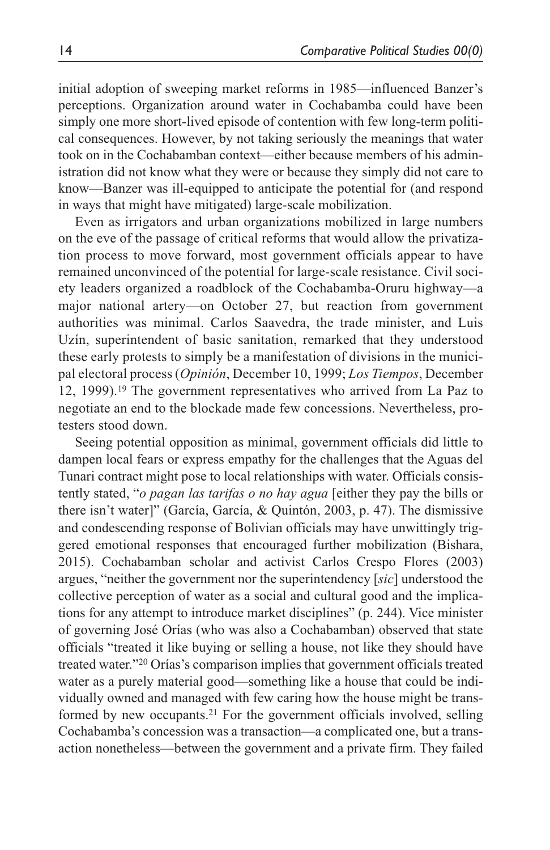initial adoption of sweeping market reforms in 1985—influenced Banzer's perceptions. Organization around water in Cochabamba could have been simply one more short-lived episode of contention with few long-term political consequences. However, by not taking seriously the meanings that water took on in the Cochabamban context—either because members of his administration did not know what they were or because they simply did not care to know—Banzer was ill-equipped to anticipate the potential for (and respond in ways that might have mitigated) large-scale mobilization.

Even as irrigators and urban organizations mobilized in large numbers on the eve of the passage of critical reforms that would allow the privatization process to move forward, most government officials appear to have remained unconvinced of the potential for large-scale resistance. Civil society leaders organized a roadblock of the Cochabamba-Oruru highway—a major national artery—on October 27, but reaction from government authorities was minimal. Carlos Saavedra, the trade minister, and Luis Uzín, superintendent of basic sanitation, remarked that they understood these early protests to simply be a manifestation of divisions in the municipal electoral process (*Opinión*, December 10, 1999; *Los Tiempos*, December 12, 1999).19 The government representatives who arrived from La Paz to negotiate an end to the blockade made few concessions. Nevertheless, protesters stood down.

Seeing potential opposition as minimal, government officials did little to dampen local fears or express empathy for the challenges that the Aguas del Tunari contract might pose to local relationships with water. Officials consistently stated, "*o pagan las tarifas o no hay agua* [either they pay the bills or there isn't water]" (García, García, & Quintón, 2003, p. 47). The dismissive and condescending response of Bolivian officials may have unwittingly triggered emotional responses that encouraged further mobilization (Bishara, 2015). Cochabamban scholar and activist Carlos Crespo Flores (2003) argues, "neither the government nor the superintendency [*sic*] understood the collective perception of water as a social and cultural good and the implications for any attempt to introduce market disciplines" (p. 244). Vice minister of governing José Orías (who was also a Cochabamban) observed that state officials "treated it like buying or selling a house, not like they should have treated water."20 Orías's comparison implies that government officials treated water as a purely material good—something like a house that could be individually owned and managed with few caring how the house might be transformed by new occupants.<sup>21</sup> For the government officials involved, selling Cochabamba's concession was a transaction—a complicated one, but a transaction nonetheless—between the government and a private firm. They failed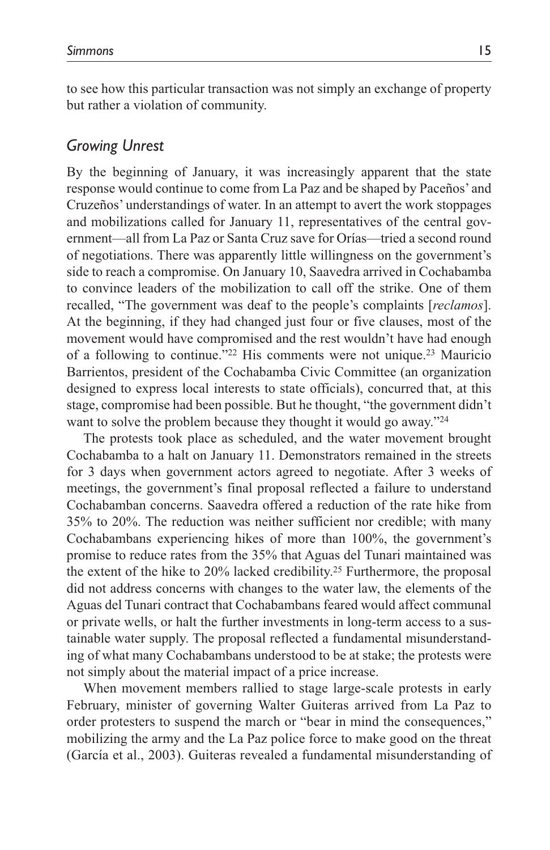to see how this particular transaction was not simply an exchange of property but rather a violation of community.

#### *Growing Unrest*

By the beginning of January, it was increasingly apparent that the state response would continue to come from La Paz and be shaped by Paceños' and Cruzeños' understandings of water. In an attempt to avert the work stoppages and mobilizations called for January 11, representatives of the central government—all from La Paz or Santa Cruz save for Orías—tried a second round of negotiations. There was apparently little willingness on the government's side to reach a compromise. On January 10, Saavedra arrived in Cochabamba to convince leaders of the mobilization to call off the strike. One of them recalled, "The government was deaf to the people's complaints [*reclamos*]. At the beginning, if they had changed just four or five clauses, most of the movement would have compromised and the rest wouldn't have had enough of a following to continue."22 His comments were not unique.23 Mauricio Barrientos, president of the Cochabamba Civic Committee (an organization designed to express local interests to state officials), concurred that, at this stage, compromise had been possible. But he thought, "the government didn't want to solve the problem because they thought it would go away."24

The protests took place as scheduled, and the water movement brought Cochabamba to a halt on January 11. Demonstrators remained in the streets for 3 days when government actors agreed to negotiate. After 3 weeks of meetings, the government's final proposal reflected a failure to understand Cochabamban concerns. Saavedra offered a reduction of the rate hike from 35% to 20%. The reduction was neither sufficient nor credible; with many Cochabambans experiencing hikes of more than 100%, the government's promise to reduce rates from the 35% that Aguas del Tunari maintained was the extent of the hike to 20% lacked credibility.25 Furthermore, the proposal did not address concerns with changes to the water law, the elements of the Aguas del Tunari contract that Cochabambans feared would affect communal or private wells, or halt the further investments in long-term access to a sustainable water supply. The proposal reflected a fundamental misunderstanding of what many Cochabambans understood to be at stake; the protests were not simply about the material impact of a price increase.

When movement members rallied to stage large-scale protests in early February, minister of governing Walter Guiteras arrived from La Paz to order protesters to suspend the march or "bear in mind the consequences," mobilizing the army and the La Paz police force to make good on the threat (García et al., 2003). Guiteras revealed a fundamental misunderstanding of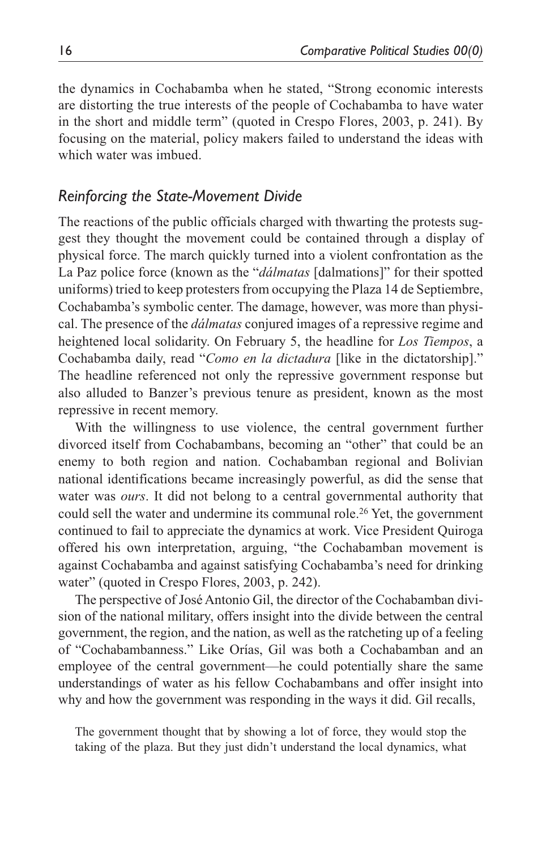the dynamics in Cochabamba when he stated, "Strong economic interests are distorting the true interests of the people of Cochabamba to have water in the short and middle term" (quoted in Crespo Flores, 2003, p. 241). By focusing on the material, policy makers failed to understand the ideas with which water was imbued.

#### *Reinforcing the State-Movement Divide*

The reactions of the public officials charged with thwarting the protests suggest they thought the movement could be contained through a display of physical force. The march quickly turned into a violent confrontation as the La Paz police force (known as the "*dálmatas* [dalmations]" for their spotted uniforms) tried to keep protesters from occupying the Plaza 14 de Septiembre, Cochabamba's symbolic center. The damage, however, was more than physical. The presence of the *dálmatas* conjured images of a repressive regime and heightened local solidarity. On February 5, the headline for *Los Tiempos*, a Cochabamba daily, read "*Como en la dictadura* [like in the dictatorship]." The headline referenced not only the repressive government response but also alluded to Banzer's previous tenure as president, known as the most repressive in recent memory.

With the willingness to use violence, the central government further divorced itself from Cochabambans, becoming an "other" that could be an enemy to both region and nation. Cochabamban regional and Bolivian national identifications became increasingly powerful, as did the sense that water was *ours*. It did not belong to a central governmental authority that could sell the water and undermine its communal role.26 Yet, the government continued to fail to appreciate the dynamics at work. Vice President Quiroga offered his own interpretation, arguing, "the Cochabamban movement is against Cochabamba and against satisfying Cochabamba's need for drinking water" (quoted in Crespo Flores, 2003, p. 242).

The perspective of José Antonio Gil, the director of the Cochabamban division of the national military, offers insight into the divide between the central government, the region, and the nation, as well as the ratcheting up of a feeling of "Cochabambanness." Like Orías, Gil was both a Cochabamban and an employee of the central government—he could potentially share the same understandings of water as his fellow Cochabambans and offer insight into why and how the government was responding in the ways it did. Gil recalls,

The government thought that by showing a lot of force, they would stop the taking of the plaza. But they just didn't understand the local dynamics, what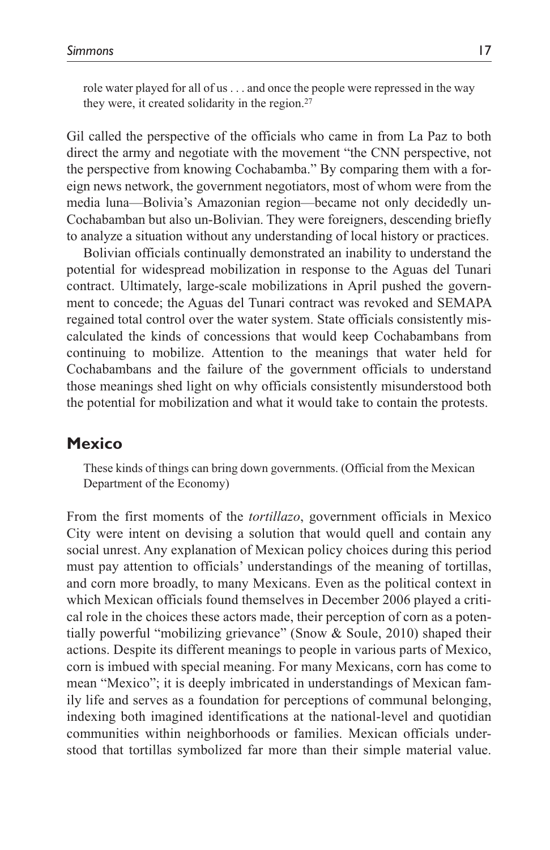role water played for all of us . . . and once the people were repressed in the way they were, it created solidarity in the region.27

Gil called the perspective of the officials who came in from La Paz to both direct the army and negotiate with the movement "the CNN perspective, not the perspective from knowing Cochabamba." By comparing them with a foreign news network, the government negotiators, most of whom were from the media luna—Bolivia's Amazonian region—became not only decidedly un-Cochabamban but also un-Bolivian. They were foreigners, descending briefly to analyze a situation without any understanding of local history or practices.

Bolivian officials continually demonstrated an inability to understand the potential for widespread mobilization in response to the Aguas del Tunari contract. Ultimately, large-scale mobilizations in April pushed the government to concede; the Aguas del Tunari contract was revoked and SEMAPA regained total control over the water system. State officials consistently miscalculated the kinds of concessions that would keep Cochabambans from continuing to mobilize. Attention to the meanings that water held for Cochabambans and the failure of the government officials to understand those meanings shed light on why officials consistently misunderstood both the potential for mobilization and what it would take to contain the protests.

#### **Mexico**

These kinds of things can bring down governments. (Official from the Mexican Department of the Economy)

From the first moments of the *tortillazo*, government officials in Mexico City were intent on devising a solution that would quell and contain any social unrest. Any explanation of Mexican policy choices during this period must pay attention to officials' understandings of the meaning of tortillas, and corn more broadly, to many Mexicans. Even as the political context in which Mexican officials found themselves in December 2006 played a critical role in the choices these actors made, their perception of corn as a potentially powerful "mobilizing grievance" (Snow & Soule, 2010) shaped their actions. Despite its different meanings to people in various parts of Mexico, corn is imbued with special meaning. For many Mexicans, corn has come to mean "Mexico"; it is deeply imbricated in understandings of Mexican family life and serves as a foundation for perceptions of communal belonging, indexing both imagined identifications at the national-level and quotidian communities within neighborhoods or families. Mexican officials understood that tortillas symbolized far more than their simple material value.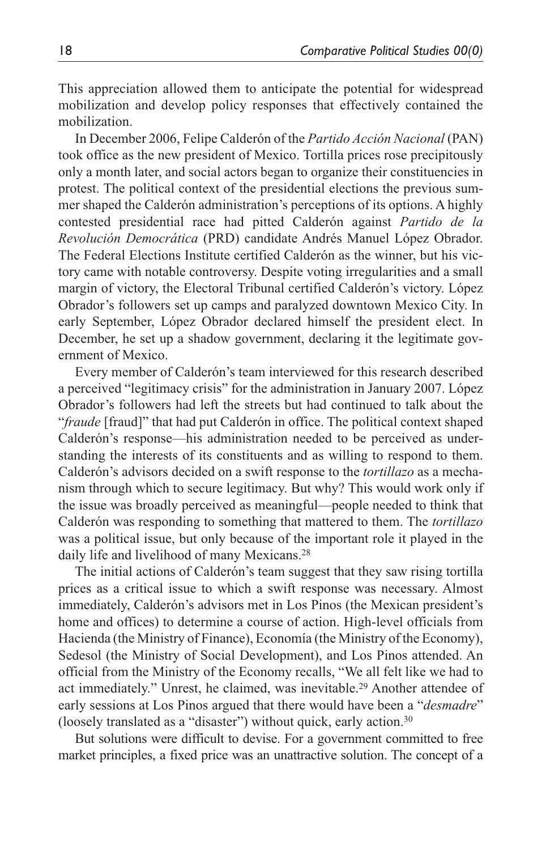This appreciation allowed them to anticipate the potential for widespread mobilization and develop policy responses that effectively contained the mobilization.

In December 2006, Felipe Calderón of the *Partido Acción Nacional* (PAN) took office as the new president of Mexico. Tortilla prices rose precipitously only a month later, and social actors began to organize their constituencies in protest. The political context of the presidential elections the previous summer shaped the Calderón administration's perceptions of its options. A highly contested presidential race had pitted Calderón against *Partido de la Revolución Democrática* (PRD) candidate Andrés Manuel López Obrador. The Federal Elections Institute certified Calderón as the winner, but his victory came with notable controversy. Despite voting irregularities and a small margin of victory, the Electoral Tribunal certified Calderón's victory. López Obrador's followers set up camps and paralyzed downtown Mexico City. In early September, López Obrador declared himself the president elect. In December, he set up a shadow government, declaring it the legitimate government of Mexico.

Every member of Calderón's team interviewed for this research described a perceived "legitimacy crisis" for the administration in January 2007. López Obrador's followers had left the streets but had continued to talk about the "*fraude* [fraud]" that had put Calderón in office. The political context shaped Calderón's response—his administration needed to be perceived as understanding the interests of its constituents and as willing to respond to them. Calderón's advisors decided on a swift response to the *tortillazo* as a mechanism through which to secure legitimacy. But why? This would work only if the issue was broadly perceived as meaningful—people needed to think that Calderón was responding to something that mattered to them. The *tortillazo* was a political issue, but only because of the important role it played in the daily life and livelihood of many Mexicans.<sup>28</sup>

The initial actions of Calderón's team suggest that they saw rising tortilla prices as a critical issue to which a swift response was necessary. Almost immediately, Calderón's advisors met in Los Pinos (the Mexican president's home and offices) to determine a course of action. High-level officials from Hacienda (the Ministry of Finance), Economía (the Ministry of the Economy), Sedesol (the Ministry of Social Development), and Los Pinos attended. An official from the Ministry of the Economy recalls, "We all felt like we had to act immediately." Unrest, he claimed, was inevitable.29 Another attendee of early sessions at Los Pinos argued that there would have been a "*desmadre*" (loosely translated as a "disaster") without quick, early action.30

But solutions were difficult to devise. For a government committed to free market principles, a fixed price was an unattractive solution. The concept of a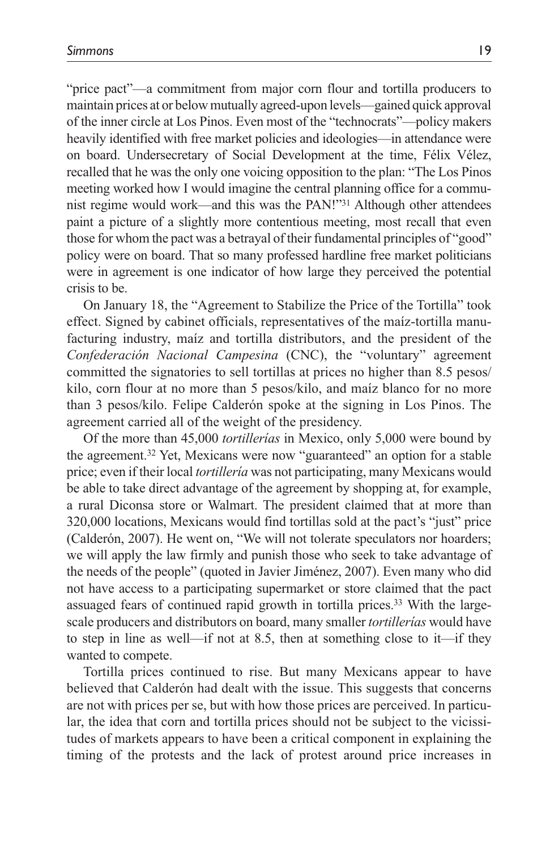"price pact"—a commitment from major corn flour and tortilla producers to maintain prices at or below mutually agreed-upon levels—gained quick approval of the inner circle at Los Pinos. Even most of the "technocrats"—policy makers heavily identified with free market policies and ideologies—in attendance were on board. Undersecretary of Social Development at the time, Félix Vélez, recalled that he was the only one voicing opposition to the plan: "The Los Pinos meeting worked how I would imagine the central planning office for a communist regime would work—and this was the PAN!"31 Although other attendees paint a picture of a slightly more contentious meeting, most recall that even those for whom the pact was a betrayal of their fundamental principles of "good" policy were on board. That so many professed hardline free market politicians were in agreement is one indicator of how large they perceived the potential crisis to be.

On January 18, the "Agreement to Stabilize the Price of the Tortilla" took effect. Signed by cabinet officials, representatives of the maíz-tortilla manufacturing industry, maíz and tortilla distributors, and the president of the *Confederación Nacional Campesina* (CNC), the "voluntary" agreement committed the signatories to sell tortillas at prices no higher than 8.5 pesos/ kilo, corn flour at no more than 5 pesos/kilo, and maíz blanco for no more than 3 pesos/kilo. Felipe Calderón spoke at the signing in Los Pinos. The agreement carried all of the weight of the presidency.

Of the more than 45,000 *tortillerías* in Mexico, only 5,000 were bound by the agreement.32 Yet, Mexicans were now "guaranteed" an option for a stable price; even if their local *tortillería* was not participating, many Mexicans would be able to take direct advantage of the agreement by shopping at, for example, a rural Diconsa store or Walmart. The president claimed that at more than 320,000 locations, Mexicans would find tortillas sold at the pact's "just" price (Calderón, 2007). He went on, "We will not tolerate speculators nor hoarders; we will apply the law firmly and punish those who seek to take advantage of the needs of the people" (quoted in Javier Jiménez, 2007). Even many who did not have access to a participating supermarket or store claimed that the pact assuaged fears of continued rapid growth in tortilla prices.33 With the largescale producers and distributors on board, many smaller *tortillerías* would have to step in line as well—if not at 8.5, then at something close to it—if they wanted to compete.

Tortilla prices continued to rise. But many Mexicans appear to have believed that Calderón had dealt with the issue. This suggests that concerns are not with prices per se, but with how those prices are perceived. In particular, the idea that corn and tortilla prices should not be subject to the vicissitudes of markets appears to have been a critical component in explaining the timing of the protests and the lack of protest around price increases in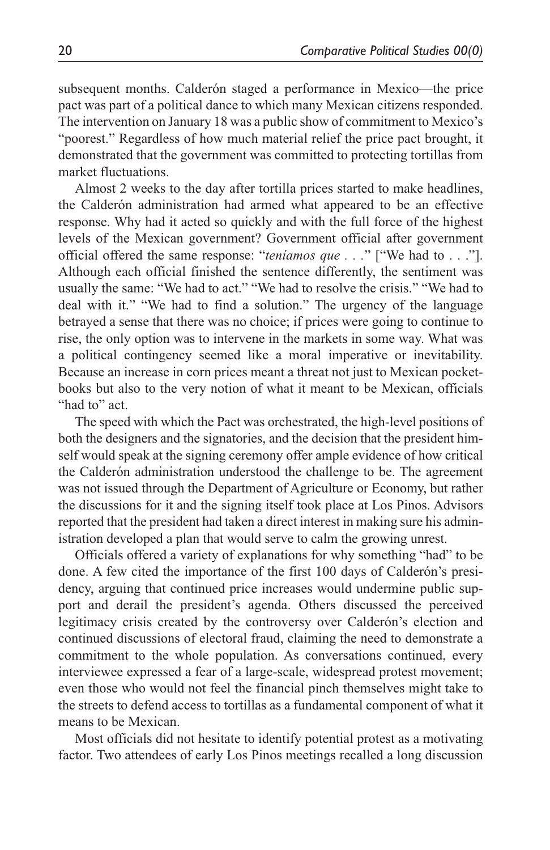subsequent months. Calderón staged a performance in Mexico—the price pact was part of a political dance to which many Mexican citizens responded. The intervention on January 18 was a public show of commitment to Mexico's "poorest." Regardless of how much material relief the price pact brought, it demonstrated that the government was committed to protecting tortillas from market fluctuations.

Almost 2 weeks to the day after tortilla prices started to make headlines, the Calderón administration had armed what appeared to be an effective response. Why had it acted so quickly and with the full force of the highest levels of the Mexican government? Government official after government official offered the same response: "*teníamos que . . .*" ["We had to . . ."]. Although each official finished the sentence differently, the sentiment was usually the same: "We had to act." "We had to resolve the crisis." "We had to deal with it." "We had to find a solution." The urgency of the language betrayed a sense that there was no choice; if prices were going to continue to rise, the only option was to intervene in the markets in some way. What was a political contingency seemed like a moral imperative or inevitability. Because an increase in corn prices meant a threat not just to Mexican pocketbooks but also to the very notion of what it meant to be Mexican, officials "had to" act.

The speed with which the Pact was orchestrated, the high-level positions of both the designers and the signatories, and the decision that the president himself would speak at the signing ceremony offer ample evidence of how critical the Calderón administration understood the challenge to be. The agreement was not issued through the Department of Agriculture or Economy, but rather the discussions for it and the signing itself took place at Los Pinos. Advisors reported that the president had taken a direct interest in making sure his administration developed a plan that would serve to calm the growing unrest.

Officials offered a variety of explanations for why something "had" to be done. A few cited the importance of the first 100 days of Calderón's presidency, arguing that continued price increases would undermine public support and derail the president's agenda. Others discussed the perceived legitimacy crisis created by the controversy over Calderón's election and continued discussions of electoral fraud, claiming the need to demonstrate a commitment to the whole population. As conversations continued, every interviewee expressed a fear of a large-scale, widespread protest movement; even those who would not feel the financial pinch themselves might take to the streets to defend access to tortillas as a fundamental component of what it means to be Mexican.

Most officials did not hesitate to identify potential protest as a motivating factor. Two attendees of early Los Pinos meetings recalled a long discussion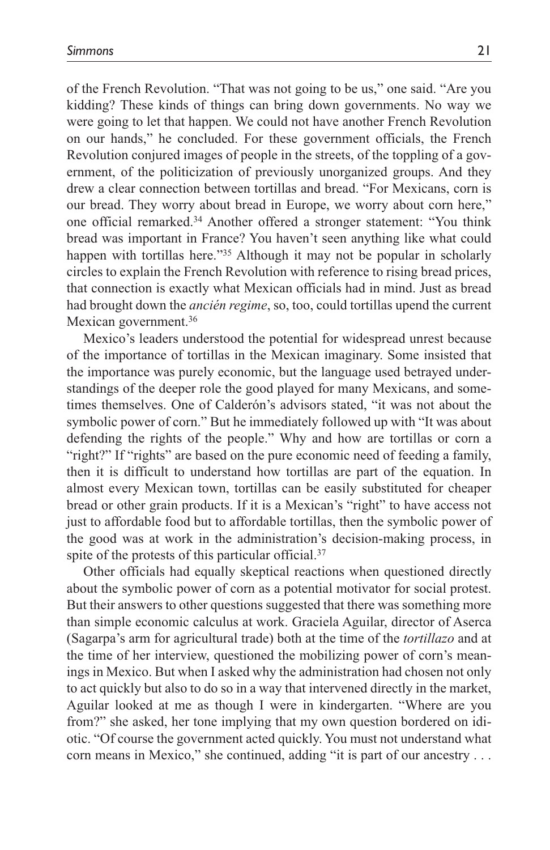of the French Revolution. "That was not going to be us," one said. "Are you kidding? These kinds of things can bring down governments. No way we were going to let that happen. We could not have another French Revolution on our hands," he concluded. For these government officials, the French Revolution conjured images of people in the streets, of the toppling of a government, of the politicization of previously unorganized groups. And they drew a clear connection between tortillas and bread. "For Mexicans, corn is our bread. They worry about bread in Europe, we worry about corn here," one official remarked.34 Another offered a stronger statement: "You think bread was important in France? You haven't seen anything like what could happen with tortillas here."<sup>35</sup> Although it may not be popular in scholarly circles to explain the French Revolution with reference to rising bread prices, that connection is exactly what Mexican officials had in mind. Just as bread had brought down the *ancién regime*, so, too, could tortillas upend the current Mexican government.36

Mexico's leaders understood the potential for widespread unrest because of the importance of tortillas in the Mexican imaginary. Some insisted that the importance was purely economic, but the language used betrayed understandings of the deeper role the good played for many Mexicans, and sometimes themselves. One of Calderón's advisors stated, "it was not about the symbolic power of corn." But he immediately followed up with "It was about defending the rights of the people." Why and how are tortillas or corn a "right?" If "rights" are based on the pure economic need of feeding a family, then it is difficult to understand how tortillas are part of the equation. In almost every Mexican town, tortillas can be easily substituted for cheaper bread or other grain products. If it is a Mexican's "right" to have access not just to affordable food but to affordable tortillas, then the symbolic power of the good was at work in the administration's decision-making process, in spite of the protests of this particular official.<sup>37</sup>

Other officials had equally skeptical reactions when questioned directly about the symbolic power of corn as a potential motivator for social protest. But their answers to other questions suggested that there was something more than simple economic calculus at work. Graciela Aguilar, director of Aserca (Sagarpa's arm for agricultural trade) both at the time of the *tortillazo* and at the time of her interview, questioned the mobilizing power of corn's meanings in Mexico. But when I asked why the administration had chosen not only to act quickly but also to do so in a way that intervened directly in the market, Aguilar looked at me as though I were in kindergarten. "Where are you from?" she asked, her tone implying that my own question bordered on idiotic. "Of course the government acted quickly. You must not understand what corn means in Mexico," she continued, adding "it is part of our ancestry . . .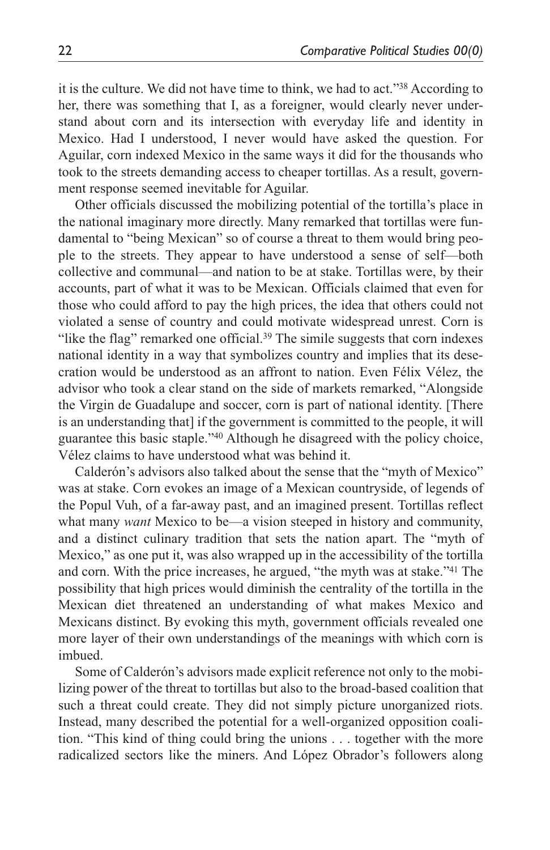it is the culture. We did not have time to think, we had to act."38 According to her, there was something that I, as a foreigner, would clearly never understand about corn and its intersection with everyday life and identity in Mexico. Had I understood, I never would have asked the question. For Aguilar, corn indexed Mexico in the same ways it did for the thousands who took to the streets demanding access to cheaper tortillas. As a result, government response seemed inevitable for Aguilar.

Other officials discussed the mobilizing potential of the tortilla's place in the national imaginary more directly. Many remarked that tortillas were fundamental to "being Mexican" so of course a threat to them would bring people to the streets. They appear to have understood a sense of self—both collective and communal—and nation to be at stake. Tortillas were, by their accounts, part of what it was to be Mexican. Officials claimed that even for those who could afford to pay the high prices, the idea that others could not violated a sense of country and could motivate widespread unrest. Corn is "like the flag" remarked one official.<sup>39</sup> The simile suggests that corn indexes national identity in a way that symbolizes country and implies that its desecration would be understood as an affront to nation. Even Félix Vélez, the advisor who took a clear stand on the side of markets remarked, "Alongside the Virgin de Guadalupe and soccer, corn is part of national identity. [There is an understanding that] if the government is committed to the people, it will guarantee this basic staple."40 Although he disagreed with the policy choice, Vélez claims to have understood what was behind it.

Calderón's advisors also talked about the sense that the "myth of Mexico" was at stake. Corn evokes an image of a Mexican countryside, of legends of the Popul Vuh, of a far-away past, and an imagined present. Tortillas reflect what many *want* Mexico to be—a vision steeped in history and community, and a distinct culinary tradition that sets the nation apart. The "myth of Mexico," as one put it, was also wrapped up in the accessibility of the tortilla and corn. With the price increases, he argued, "the myth was at stake."41 The possibility that high prices would diminish the centrality of the tortilla in the Mexican diet threatened an understanding of what makes Mexico and Mexicans distinct. By evoking this myth, government officials revealed one more layer of their own understandings of the meanings with which corn is imbued.

Some of Calderón's advisors made explicit reference not only to the mobilizing power of the threat to tortillas but also to the broad-based coalition that such a threat could create. They did not simply picture unorganized riots. Instead, many described the potential for a well-organized opposition coalition. "This kind of thing could bring the unions . . . together with the more radicalized sectors like the miners. And López Obrador's followers along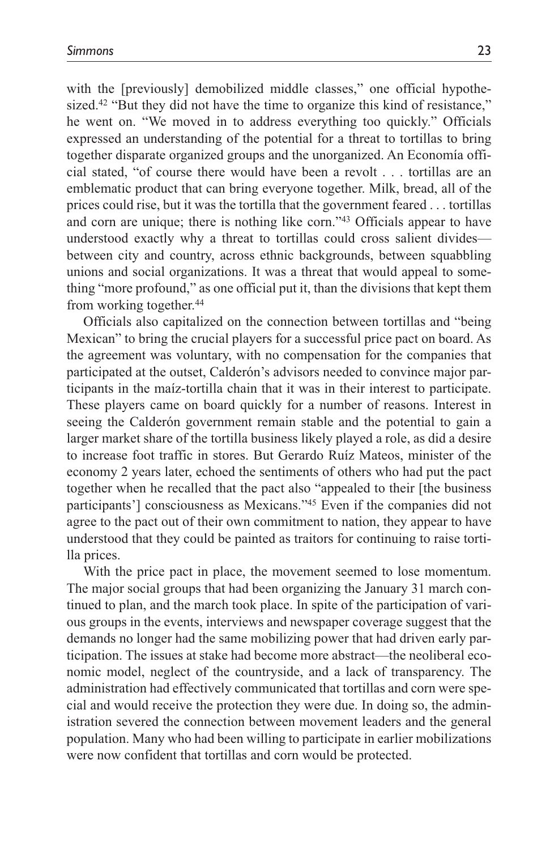with the [previously] demobilized middle classes," one official hypothesized.<sup>42</sup> "But they did not have the time to organize this kind of resistance," he went on. "We moved in to address everything too quickly." Officials expressed an understanding of the potential for a threat to tortillas to bring together disparate organized groups and the unorganized. An Economía official stated, "of course there would have been a revolt . . . tortillas are an emblematic product that can bring everyone together. Milk, bread, all of the prices could rise, but it was the tortilla that the government feared . . . tortillas and corn are unique; there is nothing like corn."43 Officials appear to have understood exactly why a threat to tortillas could cross salient divides between city and country, across ethnic backgrounds, between squabbling unions and social organizations. It was a threat that would appeal to something "more profound," as one official put it, than the divisions that kept them from working together.44

Officials also capitalized on the connection between tortillas and "being Mexican" to bring the crucial players for a successful price pact on board. As the agreement was voluntary, with no compensation for the companies that participated at the outset, Calderón's advisors needed to convince major participants in the maíz-tortilla chain that it was in their interest to participate. These players came on board quickly for a number of reasons. Interest in seeing the Calderón government remain stable and the potential to gain a larger market share of the tortilla business likely played a role, as did a desire to increase foot traffic in stores. But Gerardo Ruíz Mateos, minister of the economy 2 years later, echoed the sentiments of others who had put the pact together when he recalled that the pact also "appealed to their [the business participants'] consciousness as Mexicans."45 Even if the companies did not agree to the pact out of their own commitment to nation, they appear to have understood that they could be painted as traitors for continuing to raise tortilla prices.

With the price pact in place, the movement seemed to lose momentum. The major social groups that had been organizing the January 31 march continued to plan, and the march took place. In spite of the participation of various groups in the events, interviews and newspaper coverage suggest that the demands no longer had the same mobilizing power that had driven early participation. The issues at stake had become more abstract—the neoliberal economic model, neglect of the countryside, and a lack of transparency. The administration had effectively communicated that tortillas and corn were special and would receive the protection they were due. In doing so, the administration severed the connection between movement leaders and the general population. Many who had been willing to participate in earlier mobilizations were now confident that tortillas and corn would be protected.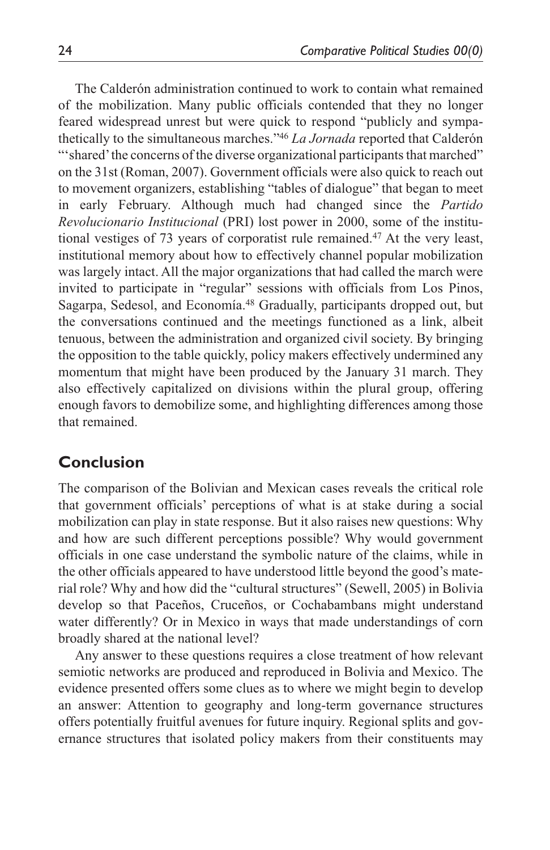The Calderón administration continued to work to contain what remained of the mobilization. Many public officials contended that they no longer feared widespread unrest but were quick to respond "publicly and sympathetically to the simultaneous marches."46 *La Jornada* reported that Calderón "'shared' the concerns of the diverse organizational participants that marched" on the 31st (Roman, 2007). Government officials were also quick to reach out to movement organizers, establishing "tables of dialogue" that began to meet in early February. Although much had changed since the *Partido Revolucionario Institucional* (PRI) lost power in 2000, some of the institutional vestiges of 73 years of corporatist rule remained.47 At the very least, institutional memory about how to effectively channel popular mobilization was largely intact. All the major organizations that had called the march were invited to participate in "regular" sessions with officials from Los Pinos, Sagarpa, Sedesol, and Economía.48 Gradually, participants dropped out, but the conversations continued and the meetings functioned as a link, albeit tenuous, between the administration and organized civil society. By bringing the opposition to the table quickly, policy makers effectively undermined any momentum that might have been produced by the January 31 march. They also effectively capitalized on divisions within the plural group, offering enough favors to demobilize some, and highlighting differences among those that remained.

## **Conclusion**

The comparison of the Bolivian and Mexican cases reveals the critical role that government officials' perceptions of what is at stake during a social mobilization can play in state response. But it also raises new questions: Why and how are such different perceptions possible? Why would government officials in one case understand the symbolic nature of the claims, while in the other officials appeared to have understood little beyond the good's material role? Why and how did the "cultural structures" (Sewell, 2005) in Bolivia develop so that Paceños, Cruceños, or Cochabambans might understand water differently? Or in Mexico in ways that made understandings of corn broadly shared at the national level?

Any answer to these questions requires a close treatment of how relevant semiotic networks are produced and reproduced in Bolivia and Mexico. The evidence presented offers some clues as to where we might begin to develop an answer: Attention to geography and long-term governance structures offers potentially fruitful avenues for future inquiry. Regional splits and governance structures that isolated policy makers from their constituents may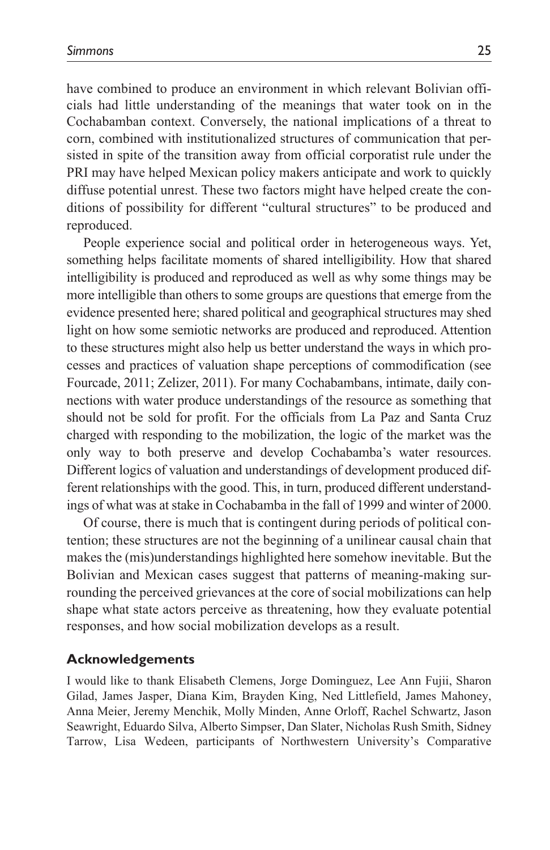have combined to produce an environment in which relevant Bolivian officials had little understanding of the meanings that water took on in the Cochabamban context. Conversely, the national implications of a threat to corn, combined with institutionalized structures of communication that persisted in spite of the transition away from official corporatist rule under the PRI may have helped Mexican policy makers anticipate and work to quickly diffuse potential unrest. These two factors might have helped create the conditions of possibility for different "cultural structures" to be produced and reproduced.

People experience social and political order in heterogeneous ways. Yet, something helps facilitate moments of shared intelligibility. How that shared intelligibility is produced and reproduced as well as why some things may be more intelligible than others to some groups are questions that emerge from the evidence presented here; shared political and geographical structures may shed light on how some semiotic networks are produced and reproduced. Attention to these structures might also help us better understand the ways in which processes and practices of valuation shape perceptions of commodification (see Fourcade, 2011; Zelizer, 2011). For many Cochabambans, intimate, daily connections with water produce understandings of the resource as something that should not be sold for profit. For the officials from La Paz and Santa Cruz charged with responding to the mobilization, the logic of the market was the only way to both preserve and develop Cochabamba's water resources. Different logics of valuation and understandings of development produced different relationships with the good. This, in turn, produced different understandings of what was at stake in Cochabamba in the fall of 1999 and winter of 2000.

Of course, there is much that is contingent during periods of political contention; these structures are not the beginning of a unilinear causal chain that makes the (mis)understandings highlighted here somehow inevitable. But the Bolivian and Mexican cases suggest that patterns of meaning-making surrounding the perceived grievances at the core of social mobilizations can help shape what state actors perceive as threatening, how they evaluate potential responses, and how social mobilization develops as a result.

#### **Acknowledgements**

I would like to thank Elisabeth Clemens, Jorge Dominguez, Lee Ann Fujii, Sharon Gilad, James Jasper, Diana Kim, Brayden King, Ned Littlefield, James Mahoney, Anna Meier, Jeremy Menchik, Molly Minden, Anne Orloff, Rachel Schwartz, Jason Seawright, Eduardo Silva, Alberto Simpser, Dan Slater, Nicholas Rush Smith, Sidney Tarrow, Lisa Wedeen, participants of Northwestern University's Comparative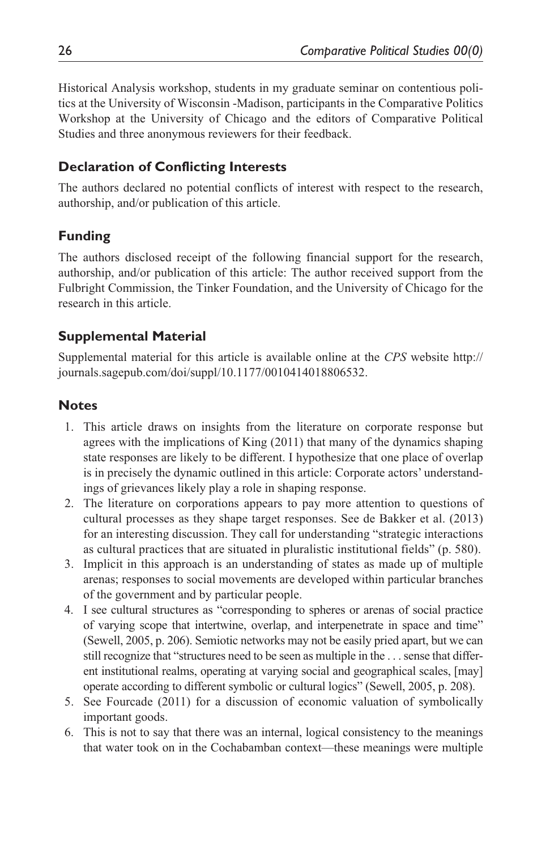Historical Analysis workshop, students in my graduate seminar on contentious politics at the University of Wisconsin -Madison, participants in the Comparative Politics Workshop at the University of Chicago and the editors of Comparative Political Studies and three anonymous reviewers for their feedback.

#### **Declaration of Conflicting Interests**

The authors declared no potential conflicts of interest with respect to the research, authorship, and/or publication of this article.

## **Funding**

The authors disclosed receipt of the following financial support for the research, authorship, and/or publication of this article: The author received support from the Fulbright Commission, the Tinker Foundation, and the University of Chicago for the research in this article.

## **Supplemental Material**

Supplemental material for this article is available online at the *CPS* website [http://](http://journals.sagepub.com/doi/suppl/10.1177/0010414018806532) [journals.sagepub.com/doi/suppl/10.1177/0010414018806532.](http://journals.sagepub.com/doi/suppl/10.1177/0010414018806532)

## **Notes**

- 1. This article draws on insights from the literature on corporate response but agrees with the implications of King (2011) that many of the dynamics shaping state responses are likely to be different. I hypothesize that one place of overlap is in precisely the dynamic outlined in this article: Corporate actors' understandings of grievances likely play a role in shaping response.
- 2. The literature on corporations appears to pay more attention to questions of cultural processes as they shape target responses. See de Bakker et al. (2013) for an interesting discussion. They call for understanding "strategic interactions as cultural practices that are situated in pluralistic institutional fields" (p. 580).
- 3. Implicit in this approach is an understanding of states as made up of multiple arenas; responses to social movements are developed within particular branches of the government and by particular people.
- 4. I see cultural structures as "corresponding to spheres or arenas of social practice of varying scope that intertwine, overlap, and interpenetrate in space and time" (Sewell, 2005, p. 206). Semiotic networks may not be easily pried apart, but we can still recognize that "structures need to be seen as multiple in the . . . sense that different institutional realms, operating at varying social and geographical scales, [may] operate according to different symbolic or cultural logics" (Sewell, 2005, p. 208).
- 5. See Fourcade (2011) for a discussion of economic valuation of symbolically important goods.
- 6. This is not to say that there was an internal, logical consistency to the meanings that water took on in the Cochabamban context—these meanings were multiple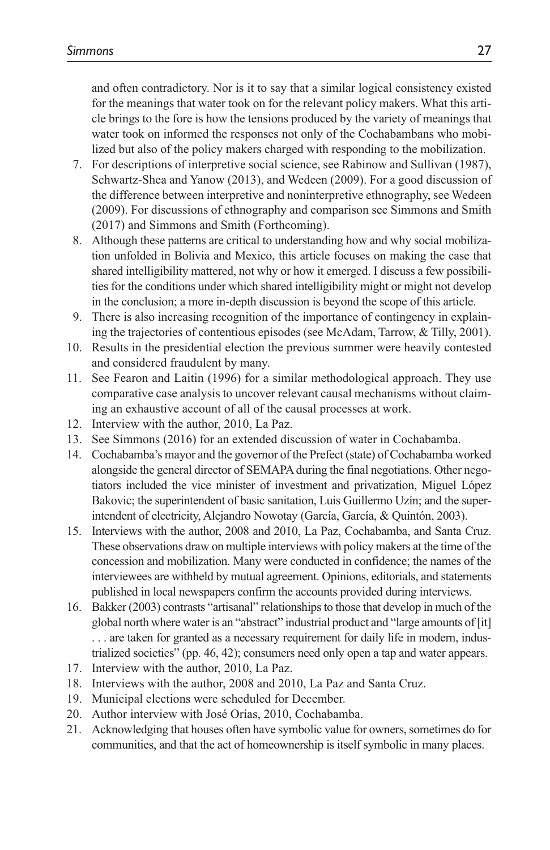and often contradictory. Nor is it to say that a similar logical consistency existed for the meanings that water took on for the relevant policy makers. What this article brings to the fore is how the tensions produced by the variety of meanings that water took on informed the responses not only of the Cochabambans who mobilized but also of the policy makers charged with responding to the mobilization.

- 7. For descriptions of interpretive social science, see Rabinow and Sullivan (1987), Schwartz-Shea and Yanow (2013), and Wedeen (2009). For a good discussion of the difference between interpretive and noninterpretive ethnography, see Wedeen (2009). For discussions of ethnography and comparison see Simmons and Smith (2017) and Simmons and Smith (Forthcoming).
- 8. Although these patterns are critical to understanding how and why social mobilization unfolded in Bolivia and Mexico, this article focuses on making the case that shared intelligibility mattered, not why or how it emerged. I discuss a few possibilities for the conditions under which shared intelligibility might or might not develop in the conclusion; a more in-depth discussion is beyond the scope of this article.
- 9. There is also increasing recognition of the importance of contingency in explaining the trajectories of contentious episodes (see McAdam, Tarrow, & Tilly, 2001).
- 10. Results in the presidential election the previous summer were heavily contested and considered fraudulent by many.
- 11. See Fearon and Laitin (1996) for a similar methodological approach. They use comparative case analysis to uncover relevant causal mechanisms without claiming an exhaustive account of all of the causal processes at work.
- 12. Interview with the author, 2010, La Paz.
- 13. See Simmons (2016) for an extended discussion of water in Cochabamba.
- 14. Cochabamba's mayor and the governor of the Prefect (state) of Cochabamba worked alongside the general director of SEMAPA during the final negotiations. Other negotiators included the vice minister of investment and privatization, Miguel López Bakovic; the superintendent of basic sanitation, Luis Guillermo Uzín; and the superintendent of electricity, Alejandro Nowotay (García, García, & Quintón, 2003).
- 15. Interviews with the author, 2008 and 2010, La Paz, Cochabamba, and Santa Cruz. These observations draw on multiple interviews with policy makers at the time of the concession and mobilization. Many were conducted in confidence; the names of the interviewees are withheld by mutual agreement. Opinions, editorials, and statements published in local newspapers confirm the accounts provided during interviews.
- 16. Bakker (2003) contrasts "artisanal" relationships to those that develop in much of the global north where water is an "abstract" industrial product and "large amounts of [it] . . . are taken for granted as a necessary requirement for daily life in modern, industrialized societies" (pp. 46, 42); consumers need only open a tap and water appears.
- 17. Interview with the author, 2010, La Paz.
- 18. Interviews with the author, 2008 and 2010, La Paz and Santa Cruz.
- 19. Municipal elections were scheduled for December.
- 20. Author interview with José Orías, 2010, Cochabamba.
- 21. Acknowledging that houses often have symbolic value for owners, sometimes do for communities, and that the act of homeownership is itself symbolic in many places.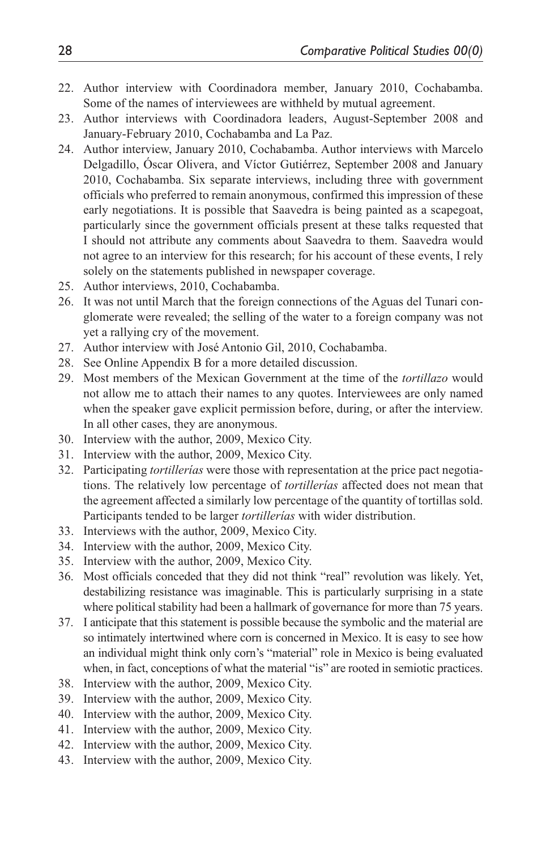- 22. Author interview with Coordinadora member, January 2010, Cochabamba. Some of the names of interviewees are withheld by mutual agreement.
- 23. Author interviews with Coordinadora leaders, August-September 2008 and January-February 2010, Cochabamba and La Paz.
- 24. Author interview, January 2010, Cochabamba. Author interviews with Marcelo Delgadillo, Óscar Olivera, and Víctor Gutiérrez, September 2008 and January 2010, Cochabamba. Six separate interviews, including three with government officials who preferred to remain anonymous, confirmed this impression of these early negotiations. It is possible that Saavedra is being painted as a scapegoat, particularly since the government officials present at these talks requested that I should not attribute any comments about Saavedra to them. Saavedra would not agree to an interview for this research; for his account of these events, I rely solely on the statements published in newspaper coverage.
- 25. Author interviews, 2010, Cochabamba.
- 26. It was not until March that the foreign connections of the Aguas del Tunari conglomerate were revealed; the selling of the water to a foreign company was not yet a rallying cry of the movement.
- 27. Author interview with José Antonio Gil, 2010, Cochabamba.
- 28. See Online [Appendix B](http://journals.sagepub.com/doi/suppl/10.1177/0010414018806532) for a more detailed discussion.
- 29. Most members of the Mexican Government at the time of the *tortillazo* would not allow me to attach their names to any quotes. Interviewees are only named when the speaker gave explicit permission before, during, or after the interview. In all other cases, they are anonymous.
- 30. Interview with the author, 2009, Mexico City.
- 31. Interview with the author, 2009, Mexico City.
- 32. Participating *tortillerías* were those with representation at the price pact negotiations. The relatively low percentage of *tortillerías* affected does not mean that the agreement affected a similarly low percentage of the quantity of tortillas sold. Participants tended to be larger *tortillerías* with wider distribution.
- 33. Interviews with the author, 2009, Mexico City.
- 34. Interview with the author, 2009, Mexico City.
- 35. Interview with the author, 2009, Mexico City.
- 36. Most officials conceded that they did not think "real" revolution was likely. Yet, destabilizing resistance was imaginable. This is particularly surprising in a state where political stability had been a hallmark of governance for more than 75 years.
- 37. I anticipate that this statement is possible because the symbolic and the material are so intimately intertwined where corn is concerned in Mexico. It is easy to see how an individual might think only corn's "material" role in Mexico is being evaluated when, in fact, conceptions of what the material "is" are rooted in semiotic practices.
- 38. Interview with the author, 2009, Mexico City.
- 39. Interview with the author, 2009, Mexico City.
- 40. Interview with the author, 2009, Mexico City.
- 41. Interview with the author, 2009, Mexico City.
- 42. Interview with the author, 2009, Mexico City.
- 43. Interview with the author, 2009, Mexico City.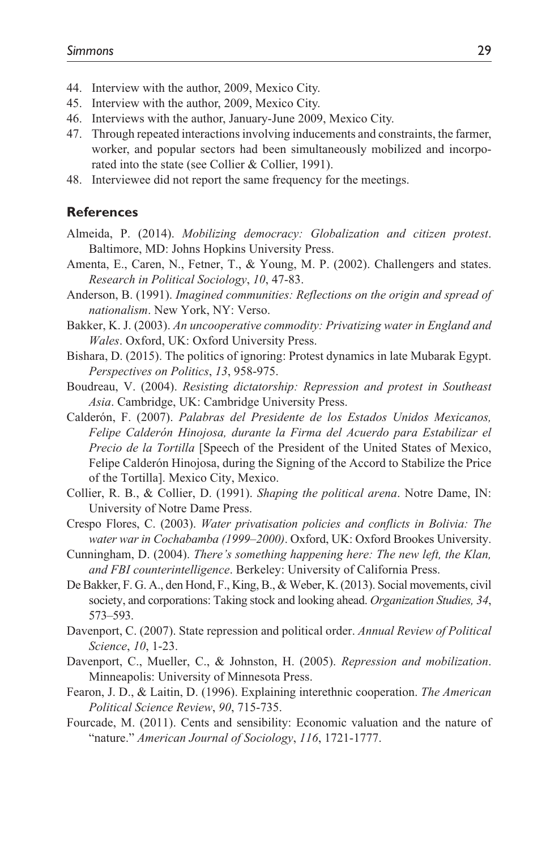- 44. Interview with the author, 2009, Mexico City.
- 45. Interview with the author, 2009, Mexico City.
- 46. Interviews with the author, January-June 2009, Mexico City.
- 47. Through repeated interactions involving inducements and constraints, the farmer, worker, and popular sectors had been simultaneously mobilized and incorporated into the state (see Collier & Collier, 1991).
- 48. Interviewee did not report the same frequency for the meetings.

#### **References**

- Almeida, P. (2014). *Mobilizing democracy: Globalization and citizen protest*. Baltimore, MD: Johns Hopkins University Press.
- Amenta, E., Caren, N., Fetner, T., & Young, M. P. (2002). Challengers and states. *Research in Political Sociology*, *10*, 47-83.
- Anderson, B. (1991). *Imagined communities: Reflections on the origin and spread of nationalism*. New York, NY: Verso.
- Bakker, K. J. (2003). *An uncooperative commodity: Privatizing water in England and Wales*. Oxford, UK: Oxford University Press.
- Bishara, D. (2015). The politics of ignoring: Protest dynamics in late Mubarak Egypt. *Perspectives on Politics*, *13*, 958-975.
- Boudreau, V. (2004). *Resisting dictatorship: Repression and protest in Southeast Asia*. Cambridge, UK: Cambridge University Press.
- Calderón, F. (2007). *Palabras del Presidente de los Estados Unidos Mexicanos, Felipe Calderón Hinojosa, durante la Firma del Acuerdo para Estabilizar el Precio de la Tortilla* [Speech of the President of the United States of Mexico, Felipe Calderón Hinojosa, during the Signing of the Accord to Stabilize the Price of the Tortilla]. Mexico City, Mexico.
- Collier, R. B., & Collier, D. (1991). *Shaping the political arena*. Notre Dame, IN: University of Notre Dame Press.
- Crespo Flores, C. (2003). *Water privatisation policies and conflicts in Bolivia: The water war in Cochabamba (1999–2000)*. Oxford, UK: Oxford Brookes University.
- Cunningham, D. (2004). *There's something happening here: The new left, the Klan, and FBI counterintelligence*. Berkeley: University of California Press.
- De Bakker, F. G. A., den Hond, F., King, B., & Weber, K. (2013). Social movements, civil society, and corporations: Taking stock and looking ahead. *Organization Studies, 34*, 573–593.
- Davenport, C. (2007). State repression and political order. *Annual Review of Political Science*, *10*, 1-23.
- Davenport, C., Mueller, C., & Johnston, H. (2005). *Repression and mobilization*. Minneapolis: University of Minnesota Press.
- Fearon, J. D., & Laitin, D. (1996). Explaining interethnic cooperation. *The American Political Science Review*, *90*, 715-735.
- Fourcade, M. (2011). Cents and sensibility: Economic valuation and the nature of "nature." *American Journal of Sociology*, *116*, 1721-1777.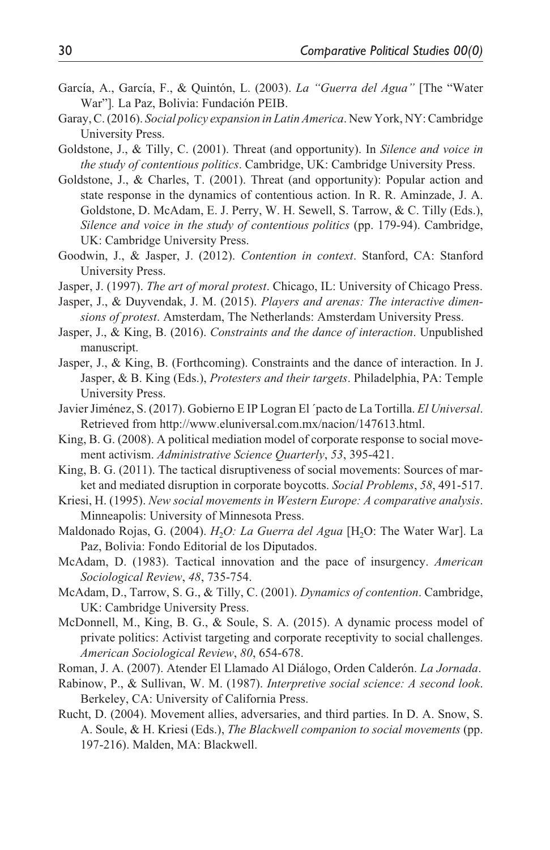- García, A., García, F., & Quintón, L. (2003). *La "Guerra del Agua"* [The "Water War"]*.* La Paz, Bolivia: Fundación PEIB.
- Garay, C. (2016). *Social policy expansion in Latin America*. New York, NY: Cambridge University Press.
- Goldstone, J., & Tilly, C. (2001). Threat (and opportunity). In *Silence and voice in the study of contentious politics*. Cambridge, UK: Cambridge University Press.
- Goldstone, J., & Charles, T. (2001). Threat (and opportunity): Popular action and state response in the dynamics of contentious action. In R. R. Aminzade, J. A. Goldstone, D. McAdam, E. J. Perry, W. H. Sewell, S. Tarrow, & C. Tilly (Eds.), *Silence and voice in the study of contentious politics* (pp. 179-94). Cambridge, UK: Cambridge University Press.
- Goodwin, J., & Jasper, J. (2012). *Contention in context*. Stanford, CA: Stanford University Press.
- Jasper, J. (1997). *The art of moral protest*. Chicago, IL: University of Chicago Press.
- Jasper, J., & Duyvendak, J. M. (2015). *Players and arenas: The interactive dimensions of protest*. Amsterdam, The Netherlands: Amsterdam University Press.
- Jasper, J., & King, B. (2016). *Constraints and the dance of interaction*. Unpublished manuscript.
- Jasper, J., & King, B. (Forthcoming). Constraints and the dance of interaction. In J. Jasper, & B. King (Eds.), *Protesters and their targets*. Philadelphia, PA: Temple University Press.
- Javier Jiménez, S. (2017). Gobierno E IP Logran El ´pacto de La Tortilla. *El Universal*. Retrieved from [http://www.eluniversal.com.mx/nacion/147613.html.](http://www.eluniversal.com.mx/nacion/147613.html)
- King, B. G. (2008). A political mediation model of corporate response to social movement activism. *Administrative Science Quarterly*, *53*, 395-421.
- King, B. G. (2011). The tactical disruptiveness of social movements: Sources of market and mediated disruption in corporate boycotts. *Social Problems*, *58*, 491-517.
- Kriesi, H. (1995). *New social movements in Western Europe: A comparative analysis*. Minneapolis: University of Minnesota Press.
- Maldonado Rojas, G. (2004). *H<sub>2</sub>O: La Guerra del Agua* [H<sub>2</sub>O: The Water War]. La Paz, Bolivia: Fondo Editorial de los Diputados.
- McAdam, D. (1983). Tactical innovation and the pace of insurgency. *American Sociological Review*, *48*, 735-754.
- McAdam, D., Tarrow, S. G., & Tilly, C. (2001). *Dynamics of contention*. Cambridge, UK: Cambridge University Press.
- McDonnell, M., King, B. G., & Soule, S. A. (2015). A dynamic process model of private politics: Activist targeting and corporate receptivity to social challenges. *American Sociological Review*, *80*, 654-678.
- Roman, J. A. (2007). Atender El Llamado Al Diálogo, Orden Calderón. *La Jornada*.
- Rabinow, P., & Sullivan, W. M. (1987). *Interpretive social science: A second look*. Berkeley, CA: University of California Press.
- Rucht, D. (2004). Movement allies, adversaries, and third parties. In D. A. Snow, S. A. Soule, & H. Kriesi (Eds.), *The Blackwell companion to social movements* (pp. 197-216). Malden, MA: Blackwell.